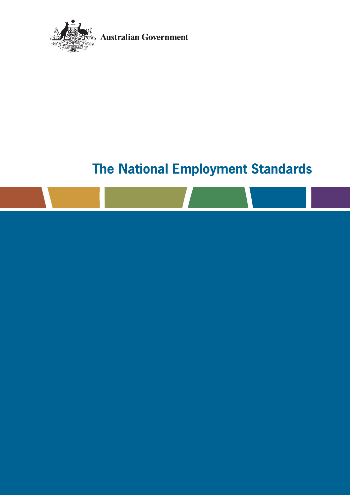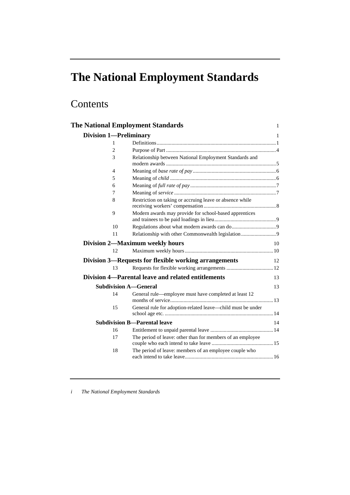## Contents

| <b>The National Employment Standards</b> |                                                                                                                      | 1  |
|------------------------------------------|----------------------------------------------------------------------------------------------------------------------|----|
| <b>Division 1-Preliminary</b>            |                                                                                                                      | 1  |
| 1                                        |                                                                                                                      |    |
| $\overline{2}$                           |                                                                                                                      |    |
| 3                                        | Relationship between National Employment Standards and                                                               |    |
| 4                                        |                                                                                                                      |    |
| 5                                        |                                                                                                                      |    |
| 6                                        |                                                                                                                      |    |
| 7                                        |                                                                                                                      |    |
| 8                                        | Restriction on taking or accruing leave or absence while                                                             |    |
| 9                                        | Modern awards may provide for school-based apprentices                                                               |    |
| 10                                       |                                                                                                                      |    |
| 11                                       |                                                                                                                      |    |
|                                          | Division 2—Maximum weekly hours                                                                                      | 10 |
| 12                                       |                                                                                                                      |    |
|                                          | Division 3—Requests for flexible working arrangements                                                                | 12 |
| 13                                       |                                                                                                                      |    |
|                                          | Division 4—Parental leave and related entitlements                                                                   | 13 |
| <b>Subdivision A-General</b>             |                                                                                                                      | 13 |
| 14<br>15                                 | General rule—employee must have completed at least 12<br>General rule for adoption-related leave-child must be under |    |
|                                          |                                                                                                                      |    |
|                                          | <b>Subdivision B—Parental leave</b>                                                                                  | 14 |
| 16                                       |                                                                                                                      |    |
| 17                                       | The period of leave: other than for members of an employee                                                           |    |
| 18                                       | The period of leave: members of an employee couple who                                                               |    |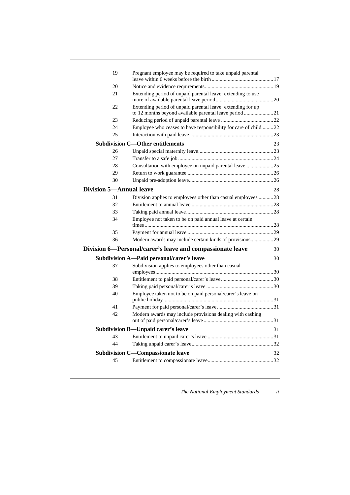| 19                             | Pregnant employee may be required to take unpaid parental                                                             |    |
|--------------------------------|-----------------------------------------------------------------------------------------------------------------------|----|
| 20                             |                                                                                                                       |    |
| 21                             | Extending period of unpaid parental leave: extending to use                                                           |    |
| 22                             | Extending period of unpaid parental leave: extending for up<br>to 12 months beyond available parental leave period 21 |    |
| 23                             |                                                                                                                       |    |
| 24                             | Employee who ceases to have responsibility for care of child22                                                        |    |
| 25                             |                                                                                                                       |    |
|                                | <b>Subdivision C-Other entitlements</b>                                                                               | 23 |
| 26                             |                                                                                                                       |    |
| 27                             |                                                                                                                       |    |
| 28                             | Consultation with employee on unpaid parental leave 25                                                                |    |
| 29                             |                                                                                                                       |    |
| 30                             |                                                                                                                       |    |
| <b>Division 5-Annual leave</b> |                                                                                                                       | 28 |
| 31                             | Division applies to employees other than casual employees 28                                                          |    |
| 32                             |                                                                                                                       |    |
| 33                             |                                                                                                                       |    |
| 34                             | Employee not taken to be on paid annual leave at certain                                                              |    |
| 35                             |                                                                                                                       |    |
| 36                             | Modern awards may include certain kinds of provisions29                                                               |    |
|                                | Division 6—Personal/carer's leave and compassionate leave                                                             | 30 |
|                                | Subdivision A-Paid personal/carer's leave                                                                             | 30 |
| 37                             | Subdivision applies to employees other than casual                                                                    |    |
| 38                             |                                                                                                                       |    |
| 39                             |                                                                                                                       |    |
| 40                             | Employee taken not to be on paid personal/carer's leave on                                                            |    |
| 41                             |                                                                                                                       |    |
| 42                             | Modern awards may include provisions dealing with cashing                                                             |    |
|                                |                                                                                                                       |    |
|                                | Subdivision B-Unpaid carer's leave                                                                                    | 31 |
| 43                             |                                                                                                                       |    |
| 44                             |                                                                                                                       |    |
|                                | <b>Subdivision C-Compassionate leave</b>                                                                              | 32 |
| 45                             |                                                                                                                       |    |
|                                |                                                                                                                       |    |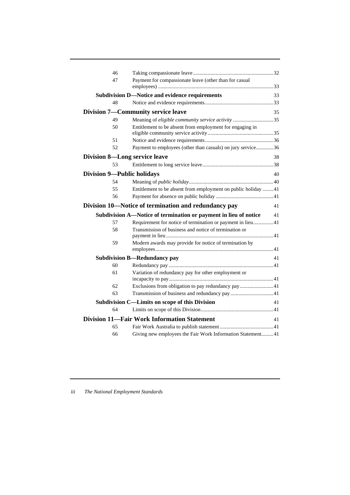| 46                                   |                                                                  |    |
|--------------------------------------|------------------------------------------------------------------|----|
| 47                                   | Payment for compassionate leave (other than for casual           |    |
|                                      |                                                                  |    |
| 48                                   | <b>Subdivision D-Notice and evidence requirements</b>            | 33 |
|                                      |                                                                  |    |
|                                      | <b>Division 7—Community service leave</b>                        | 35 |
| 49                                   | Meaning of eligible community service activity 35                |    |
| 50                                   | Entitlement to be absent from employment for engaging in         |    |
| 51                                   |                                                                  |    |
| 52                                   | Payment to employees (other than casuals) on jury service36      |    |
| <b>Division 8-Long service leave</b> |                                                                  | 38 |
| 53                                   |                                                                  |    |
|                                      |                                                                  |    |
| <b>Division 9—Public holidays</b>    |                                                                  | 40 |
| 54                                   |                                                                  |    |
| 55                                   | Entitlement to be absent from employment on public holiday 41    |    |
| 56                                   |                                                                  |    |
|                                      |                                                                  |    |
|                                      | Division 10-Notice of termination and redundancy pay             | 41 |
|                                      | Subdivision A—Notice of termination or payment in lieu of notice | 41 |
| 57                                   | Requirement for notice of termination or payment in lieu41       |    |
| 58                                   | Transmission of business and notice of termination or            |    |
| 59                                   | Modern awards may provide for notice of termination by           |    |
|                                      |                                                                  |    |
|                                      | <b>Subdivision B—Redundancy pay</b>                              | 41 |
| 60                                   |                                                                  |    |
| 61                                   | Variation of redundancy pay for other employment or              |    |
|                                      |                                                                  |    |
| 62                                   | Exclusions from obligation to pay redundancy pay 41              |    |
| 63                                   |                                                                  |    |
|                                      | Subdivision C—Limits on scope of this Division                   | 41 |
| 64                                   |                                                                  |    |
|                                      | <b>Division 11—Fair Work Information Statement</b>               | 41 |
| 65<br>66                             | Giving new employees the Fair Work Information Statement41       |    |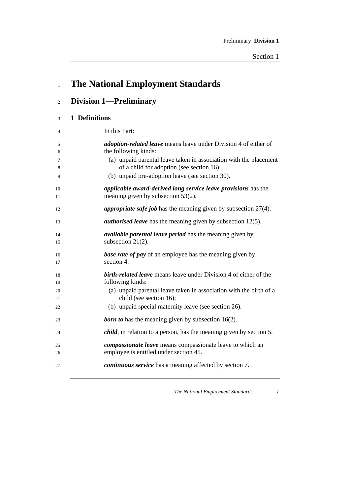| $\mathbf{1}$   | <b>The National Employment Standards</b>                                                                       |
|----------------|----------------------------------------------------------------------------------------------------------------|
| $\overline{c}$ | <b>Division 1—Preliminary</b>                                                                                  |
| 3              | 1 Definitions                                                                                                  |
| 4              | In this Part:                                                                                                  |
| 5<br>6         | adoption-related leave means leave under Division 4 of either of<br>the following kinds:                       |
| 7<br>8         | (a) unpaid parental leave taken in association with the placement<br>of a child for adoption (see section 16); |
| 9              | (b) unpaid pre-adoption leave (see section 30).                                                                |
| 10<br>11       | applicable award-derived long service leave provisions has the<br>meaning given by subsection 53(2).           |
| 12             | <i>appropriate safe job</i> has the meaning given by subsection 27(4).                                         |
| 13             | <i>authorised leave</i> has the meaning given by subsection 12(5).                                             |
| 14<br>15       | <i>available parental leave period</i> has the meaning given by<br>subsection $21(2)$ .                        |
| 16<br>17       | <b>base rate of pay</b> of an employee has the meaning given by<br>section 4.                                  |
| 18<br>19       | birth-related leave means leave under Division 4 of either of the<br>following kinds:                          |
| 20<br>21       | (a) unpaid parental leave taken in association with the birth of a<br>child (see section 16);                  |
| 22             | (b) unpaid special maternity leave (see section 26).                                                           |
| 23             | <b>born to</b> has the meaning given by subsection $16(2)$ .                                                   |
| 24             | <i>child</i> , in relation to a person, has the meaning given by section 5.                                    |
| 25             | <i>compassionate leave</i> means compassionate leave to which an                                               |
| 26<br>27       | employee is entitled under section 45.<br><i>continuous service</i> has a meaning affected by section 7.       |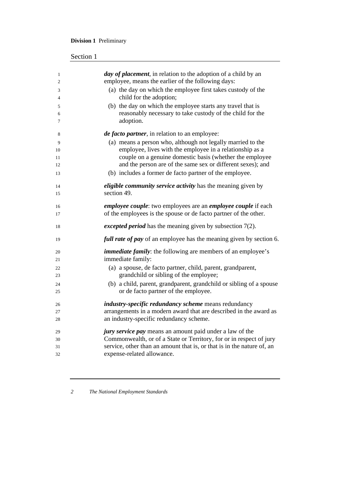## **Division 1** Preliminary

| $\mathbf{1}$<br>$\overline{c}$ | <i>day of placement</i> , in relation to the adoption of a child by an<br>employee, means the earlier of the following days: |
|--------------------------------|------------------------------------------------------------------------------------------------------------------------------|
| 3                              | (a) the day on which the employee first takes custody of the                                                                 |
| $\overline{4}$                 | child for the adoption;                                                                                                      |
| 5                              | (b) the day on which the employee starts any travel that is                                                                  |
| 6                              | reasonably necessary to take custody of the child for the                                                                    |
| 7                              | adoption.                                                                                                                    |
| 8                              | <i>de facto partner</i> , in relation to an employee:                                                                        |
| 9                              | (a) means a person who, although not legally married to the                                                                  |
| 10                             | employee, lives with the employee in a relationship as a                                                                     |
| 11                             | couple on a genuine domestic basis (whether the employee                                                                     |
| 12                             | and the person are of the same sex or different sexes); and                                                                  |
| 13                             | (b) includes a former de facto partner of the employee.                                                                      |
| 14                             | <i>eligible community service activity</i> has the meaning given by                                                          |
| 15                             | section 49.                                                                                                                  |
| 16                             | <i>employee couple:</i> two employees are an <i>employee couple</i> if each                                                  |
| 17                             | of the employees is the spouse or de facto partner of the other.                                                             |
| 18                             | <i>excepted period</i> has the meaning given by subsection $7(2)$ .                                                          |
| 19                             | full rate of pay of an employee has the meaning given by section 6.                                                          |
| 20                             | <i>immediate family</i> : the following are members of an employee's                                                         |
| 21                             | immediate family:                                                                                                            |
| 22                             | (a) a spouse, de facto partner, child, parent, grandparent,                                                                  |
| 23                             | grandchild or sibling of the employee;                                                                                       |
| 24                             | (b) a child, parent, grandparent, grandchild or sibling of a spouse                                                          |
| 25                             | or de facto partner of the employee.                                                                                         |
| 26                             | industry-specific redundancy scheme means redundancy                                                                         |
| 27                             | arrangements in a modern award that are described in the award as                                                            |
| 28                             | an industry-specific redundancy scheme.                                                                                      |
| 29                             | <i>jury service pay</i> means an amount paid under a law of the                                                              |
| 30                             | Commonwealth, or of a State or Territory, for or in respect of jury                                                          |
| 31                             | service, other than an amount that is, or that is in the nature of, an                                                       |
| 32                             | expense-related allowance.                                                                                                   |

<u> 1980 - Johann Barbara, martxa amerikan bashkar (</u>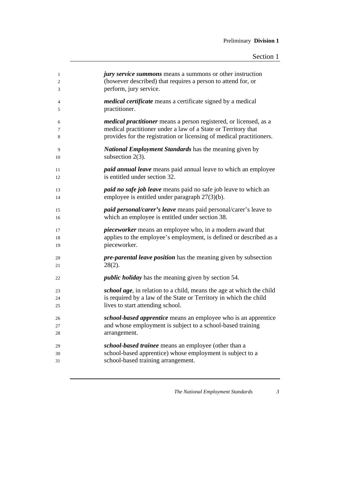| $\mathbf{1}$   | jury service summons means a summons or other instruction                |
|----------------|--------------------------------------------------------------------------|
| $\overline{c}$ | (however described) that requires a person to attend for, or             |
| 3              | perform, jury service.                                                   |
| 4              | <i>medical certificate</i> means a certificate signed by a medical       |
| 5              | practitioner.                                                            |
| 6              | <i>medical practitioner</i> means a person registered, or licensed, as a |
| 7              | medical practitioner under a law of a State or Territory that            |
| 8              | provides for the registration or licensing of medical practitioners.     |
| 9              | <b>National Employment Standards</b> has the meaning given by            |
| 10             | subsection $2(3)$ .                                                      |
| 11             | <i>paid annual leave</i> means paid annual leave to which an employee    |
| 12             | is entitled under section 32.                                            |
| 13             | <i>paid no safe job leave</i> means paid no safe job leave to which an   |
| 14             | employee is entitled under paragraph $27(3)(b)$ .                        |
| 15             | <i>paid personal/carer's leave</i> means paid personal/carer's leave to  |
| 16             | which an employee is entitled under section 38.                          |
| 17             | <i>pieceworker</i> means an employee who, in a modern award that         |
| 18             | applies to the employee's employment, is defined or described as a       |
| 19             | pieceworker.                                                             |
| 20             | <i>pre-parental leave position</i> has the meaning given by subsection   |
| 21             | $28(2)$ .                                                                |
| 22             | <i>public holiday</i> has the meaning given by section 54.               |
| 23             | school age, in relation to a child, means the age at which the child     |
| 24             | is required by a law of the State or Territory in which the child        |
| 25             | lives to start attending school.                                         |
| 26             | school-based apprentice means an employee who is an apprentice           |
| 27             | and whose employment is subject to a school-based training               |
| 28             | arrangement.                                                             |
| 29             | school-based trainee means an employee (other than a                     |
| 30             | school-based apprentice) whose employment is subject to a                |
| 31             | school-based training arrangement.                                       |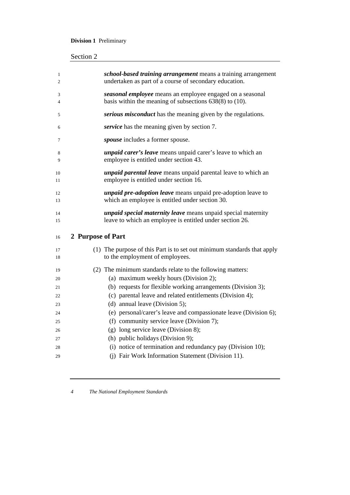## **Division 1** Preliminary

| 1<br>2   | school-based training arrangement means a training arrangement<br>undertaken as part of a course of secondary education.         |
|----------|----------------------------------------------------------------------------------------------------------------------------------|
| 3<br>4   | seasonal employee means an employee engaged on a seasonal<br>basis within the meaning of subsections $638(8)$ to $(10)$ .        |
| 5        | serious misconduct has the meaning given by the regulations.                                                                     |
| 6        | service has the meaning given by section 7.                                                                                      |
| 7        | spouse includes a former spouse.                                                                                                 |
| 8<br>9   | <i>unpaid carer's leave</i> means unpaid carer's leave to which an<br>employee is entitled under section 43.                     |
| 10<br>11 | <i>unpaid parental leave</i> means unpaid parental leave to which an<br>employee is entitled under section 16.                   |
| 12<br>13 | <i>unpaid pre-adoption leave</i> means unpaid pre-adoption leave to<br>which an employee is entitled under section 30.           |
| 14<br>15 | <i>unpaid special maternity leave</i> means unpaid special maternity<br>leave to which an employee is entitled under section 26. |
| 16       | 2 Purpose of Part                                                                                                                |
| 17       |                                                                                                                                  |
| 18       | (1) The purpose of this Part is to set out minimum standards that apply<br>to the employment of employees.                       |
| 19       | (2) The minimum standards relate to the following matters:                                                                       |
| 20       | (a) maximum weekly hours (Division 2);                                                                                           |
| 21       | (b) requests for flexible working arrangements (Division 3);                                                                     |
| 22       | (c) parental leave and related entitlements (Division 4);                                                                        |
| 23       | (d) annual leave (Division 5);                                                                                                   |
| 24       | (e) personal/carer's leave and compassionate leave (Division 6);                                                                 |
| 25       | (f) community service leave (Division 7);                                                                                        |
| 26       | (g) long service leave (Division 8);                                                                                             |
| 27       | (h) public holidays (Division 9);                                                                                                |
| 28       | (i) notice of termination and redundancy pay (Division 10);                                                                      |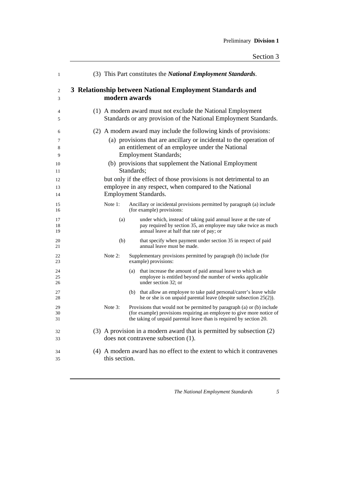| $\mathbf{1}$                 |               |            | (3) This Part constitutes the National Employment Standards.                                                                                                                                                                                                                           |
|------------------------------|---------------|------------|----------------------------------------------------------------------------------------------------------------------------------------------------------------------------------------------------------------------------------------------------------------------------------------|
| 2<br>3                       | modern awards |            | 3 Relationship between National Employment Standards and                                                                                                                                                                                                                               |
| 4<br>5                       |               |            | (1) A modern award must not exclude the National Employment<br>Standards or any provision of the National Employment Standards.                                                                                                                                                        |
| 6<br>7<br>8<br>9<br>10<br>11 |               | Standards; | (2) A modern award may include the following kinds of provisions:<br>(a) provisions that are ancillary or incidental to the operation of<br>an entitlement of an employee under the National<br><b>Employment Standards;</b><br>(b) provisions that supplement the National Employment |
| 12<br>13<br>14               |               |            | but only if the effect of those provisions is not detrimental to an<br>employee in any respect, when compared to the National<br>Employment Standards.                                                                                                                                 |
| 15<br>16                     | Note 1:       |            | Ancillary or incidental provisions permitted by paragraph (a) include<br>(for example) provisions:                                                                                                                                                                                     |
| 17<br>18<br>19               | (a)           |            | under which, instead of taking paid annual leave at the rate of<br>pay required by section 35, an employee may take twice as much<br>annual leave at half that rate of pay; or                                                                                                         |
| 20<br>21                     | (b)           |            | that specify when payment under section 35 in respect of paid<br>annual leave must be made.                                                                                                                                                                                            |
| 22<br>23                     | Note 2:       |            | Supplementary provisions permitted by paragraph (b) include (for<br>example) provisions:                                                                                                                                                                                               |
| 24<br>25<br>26               |               |            | (a) that increase the amount of paid annual leave to which an<br>employee is entitled beyond the number of weeks applicable<br>under section 32: or                                                                                                                                    |
| 27<br>28                     |               |            | (b) that allow an employee to take paid personal/carer's leave while<br>he or she is on unpaid parental leave (despite subsection $25(2)$ ).                                                                                                                                           |
| 29<br>30<br>31               | Note 3:       |            | Provisions that would not be permitted by paragraph (a) or (b) include<br>(for example) provisions requiring an employee to give more notice of<br>the taking of unpaid parental leave than is required by section 20.                                                                 |
| 32<br>33                     |               |            | (3) A provision in a modern award that is permitted by subsection (2)<br>does not contravene subsection (1).                                                                                                                                                                           |
| 34<br>35                     | this section. |            | (4) A modern award has no effect to the extent to which it contravenes                                                                                                                                                                                                                 |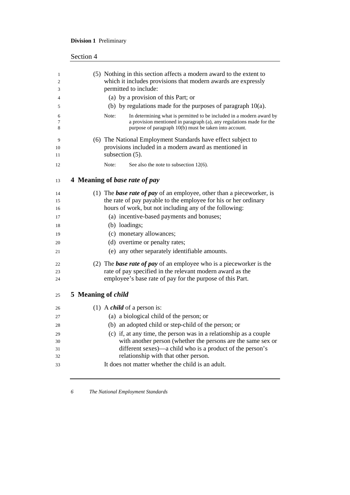## **Division 1** Preliminary

| Section 4                                                                                                                                                                                                       |
|-----------------------------------------------------------------------------------------------------------------------------------------------------------------------------------------------------------------|
| (5) Nothing in this section affects a modern award to the extent to<br>which it includes provisions that modern awards are expressly<br>permitted to include:                                                   |
| (a) by a provision of this Part; or                                                                                                                                                                             |
| (b) by regulations made for the purposes of paragraph $10(a)$ .                                                                                                                                                 |
| Note:<br>In determining what is permitted to be included in a modern award by<br>a provision mentioned in paragraph (a), any regulations made for the<br>purpose of paragraph 10(b) must be taken into account. |
| (6) The National Employment Standards have effect subject to<br>provisions included in a modern award as mentioned in<br>subsection (5).                                                                        |
| Note:<br>See also the note to subsection 12(6).                                                                                                                                                                 |
| 4 Meaning of base rate of pay                                                                                                                                                                                   |
| (1) The <b>base rate of pay</b> of an employee, other than a pieceworker, is<br>the rate of pay payable to the employee for his or her ordinary<br>hours of work, but not including any of the following:       |
| (a) incentive-based payments and bonuses;                                                                                                                                                                       |
| (b) loadings;                                                                                                                                                                                                   |
| (c) monetary allowances;                                                                                                                                                                                        |
| (d) overtime or penalty rates;                                                                                                                                                                                  |
| (e) any other separately identifiable amounts.                                                                                                                                                                  |
| (2) The <b>base rate of pay</b> of an employee who is a pieceworker is the                                                                                                                                      |
| rate of pay specified in the relevant modern award as the<br>employee's base rate of pay for the purpose of this Part.                                                                                          |
| 5 Meaning of <i>child</i>                                                                                                                                                                                       |
| (1) A <i>child</i> of a person is:                                                                                                                                                                              |
| (a) a biological child of the person; or                                                                                                                                                                        |
| (b) an adopted child or step-child of the person; or                                                                                                                                                            |
| (c) if, at any time, the person was in a relationship as a couple                                                                                                                                               |
| with another person (whether the persons are the same sex or                                                                                                                                                    |
| different sexes)—a child who is a product of the person's                                                                                                                                                       |
|                                                                                                                                                                                                                 |
| relationship with that other person.                                                                                                                                                                            |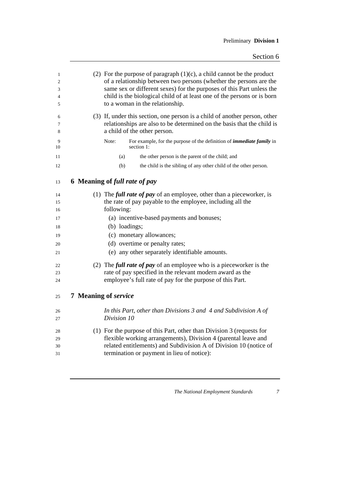| $\mathbf{1}$<br>$\overline{2}$<br>3<br>4<br>5 | (2) For the purpose of paragraph $(1)(c)$ , a child cannot be the product<br>of a relationship between two persons (whether the persons are the<br>same sex or different sexes) for the purposes of this Part unless the<br>child is the biological child of at least one of the persons or is born<br>to a woman in the relationship. |
|-----------------------------------------------|----------------------------------------------------------------------------------------------------------------------------------------------------------------------------------------------------------------------------------------------------------------------------------------------------------------------------------------|
| 6<br>7<br>8                                   | (3) If, under this section, one person is a child of another person, other<br>relationships are also to be determined on the basis that the child is<br>a child of the other person.                                                                                                                                                   |
| 9<br>10                                       | For example, for the purpose of the definition of <i>immediate family</i> in<br>Note:<br>section 1:                                                                                                                                                                                                                                    |
| 11                                            | (a)<br>the other person is the parent of the child; and                                                                                                                                                                                                                                                                                |
| 12                                            | (b)<br>the child is the sibling of any other child of the other person.                                                                                                                                                                                                                                                                |
| 13                                            | 6 Meaning of full rate of pay                                                                                                                                                                                                                                                                                                          |
| 14                                            | (1) The <i>full rate of pay</i> of an employee, other than a pieceworker, is                                                                                                                                                                                                                                                           |
| 15                                            | the rate of pay payable to the employee, including all the                                                                                                                                                                                                                                                                             |
| 16                                            | following:                                                                                                                                                                                                                                                                                                                             |
| 17                                            | (a) incentive-based payments and bonuses;                                                                                                                                                                                                                                                                                              |
| 18                                            | (b) loadings;                                                                                                                                                                                                                                                                                                                          |
| 19                                            | (c) monetary allowances;                                                                                                                                                                                                                                                                                                               |
| 20                                            | (d) overtime or penalty rates;                                                                                                                                                                                                                                                                                                         |
| 21                                            | (e) any other separately identifiable amounts.                                                                                                                                                                                                                                                                                         |
| 22                                            | (2) The <i>full rate of pay</i> of an employee who is a pieceworker is the                                                                                                                                                                                                                                                             |
| 23                                            | rate of pay specified in the relevant modern award as the                                                                                                                                                                                                                                                                              |
| 24                                            | employee's full rate of pay for the purpose of this Part.                                                                                                                                                                                                                                                                              |
| 25                                            | 7 Meaning of service                                                                                                                                                                                                                                                                                                                   |
| 26                                            | In this Part, other than Divisions $3$ and $4$ and Subdivision A of                                                                                                                                                                                                                                                                    |
| 27                                            | Division 10                                                                                                                                                                                                                                                                                                                            |
| 28                                            | (1) For the purpose of this Part, other than Division 3 (requests for                                                                                                                                                                                                                                                                  |
| 29                                            | flexible working arrangements), Division 4 (parental leave and                                                                                                                                                                                                                                                                         |
| 30                                            | related entitlements) and Subdivision A of Division 10 (notice of                                                                                                                                                                                                                                                                      |
| 31                                            | termination or payment in lieu of notice):                                                                                                                                                                                                                                                                                             |
|                                               |                                                                                                                                                                                                                                                                                                                                        |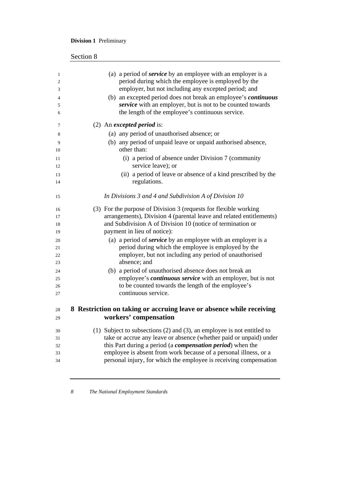## **Division 1** Preliminary

| Section 8 |  |
|-----------|--|
|           |  |

| 1        | (a) a period of <i>service</i> by an employee with an employer is a                                                                    |
|----------|----------------------------------------------------------------------------------------------------------------------------------------|
| 2        | period during which the employee is employed by the                                                                                    |
| 3        | employer, but not including any excepted period; and                                                                                   |
| 4        | (b) an excepted period does not break an employee's continuous                                                                         |
| 5        | service with an employer, but is not to be counted towards                                                                             |
| 6        | the length of the employee's continuous service.                                                                                       |
| 7        | $(2)$ An <i>excepted period</i> is:                                                                                                    |
| 8        | (a) any period of unauthorised absence; or                                                                                             |
| 9        | (b) any period of unpaid leave or unpaid authorised absence,                                                                           |
| 10       | other than:                                                                                                                            |
| 11       | (i) a period of absence under Division 7 (community                                                                                    |
| 12       | service leave); or                                                                                                                     |
| 13       | (ii) a period of leave or absence of a kind prescribed by the                                                                          |
| 14       | regulations.                                                                                                                           |
| 15       | In Divisions 3 and 4 and Subdivision A of Division 10                                                                                  |
| 16       | (3) For the purpose of Division 3 (requests for flexible working                                                                       |
| 17       | arrangements), Division 4 (parental leave and related entitlements)                                                                    |
| 18       | and Subdivision A of Division 10 (notice of termination or                                                                             |
| 19       | payment in lieu of notice):                                                                                                            |
| 20       | (a) a period of <b>service</b> by an employee with an employer is a                                                                    |
| 21       | period during which the employee is employed by the                                                                                    |
| 22       | employer, but not including any period of unauthorised                                                                                 |
| 23       | absence; and                                                                                                                           |
| 24       | (b) a period of unauthorised absence does not break an                                                                                 |
| 25       | employee's continuous service with an employer, but is not                                                                             |
| 26       | to be counted towards the length of the employee's                                                                                     |
| 27       | continuous service.                                                                                                                    |
| 28       | 8 Restriction on taking or accruing leave or absence while receiving                                                                   |
| 29       | workers' compensation                                                                                                                  |
|          |                                                                                                                                        |
| 30       | (1) Subject to subsections $(2)$ and $(3)$ , an employee is not entitled to                                                            |
| 31       | take or accrue any leave or absence (whether paid or unpaid) under                                                                     |
| 32       | this Part during a period (a <i>compensation period</i> ) when the<br>employee is absent from work because of a personal illness, or a |
| 33<br>34 | personal injury, for which the employee is receiving compensation                                                                      |
|          |                                                                                                                                        |

<u> 1980 - Johann Barn, mars ar breithinn ar chomhair an t-Alban ann an t-Alban ann an t-Alban ann an t-Alban an</u>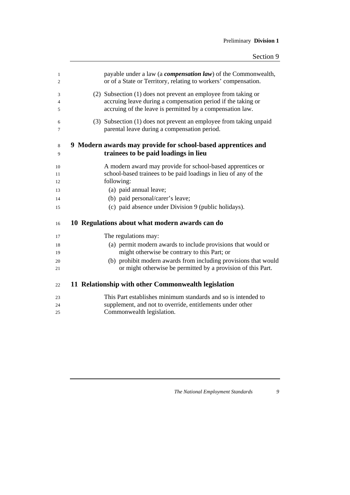| 1<br>2 | payable under a law (a <i>compensation law</i> ) of the Commonwealth,<br>or of a State or Territory, relating to workers' compensation. |
|--------|-----------------------------------------------------------------------------------------------------------------------------------------|
| 3      | (2) Subsection (1) does not prevent an employee from taking or                                                                          |
| 4      | accruing leave during a compensation period if the taking or                                                                            |
| 5      | accruing of the leave is permitted by a compensation law.                                                                               |
| 6      | (3) Subsection (1) does not prevent an employee from taking unpaid                                                                      |
| 7      | parental leave during a compensation period.                                                                                            |
| 8<br>9 | 9 Modern awards may provide for school-based apprentices and<br>trainees to be paid loadings in lieu                                    |
|        |                                                                                                                                         |
| 10     | A modern award may provide for school-based apprentices or                                                                              |
| 11     | school-based trainees to be paid loadings in lieu of any of the<br>following:                                                           |
| 12     |                                                                                                                                         |
| 13     | (a) paid annual leave;                                                                                                                  |
| 14     | (b) paid personal/carer's leave;                                                                                                        |
| 15     | (c) paid absence under Division 9 (public holidays).                                                                                    |
| 16     | 10 Regulations about what modern awards can do                                                                                          |
| 17     | The regulations may:                                                                                                                    |
| 18     | (a) permit modern awards to include provisions that would or                                                                            |
| 19     | might otherwise be contrary to this Part; or                                                                                            |
| 20     | (b) prohibit modern awards from including provisions that would                                                                         |
| 21     | or might otherwise be permitted by a provision of this Part.                                                                            |
| 22     | 11 Relationship with other Commonwealth legislation                                                                                     |
| 23     | This Part establishes minimum standards and so is intended to                                                                           |
| 24     | supplement, and not to override, entitlements under other                                                                               |
| 25     | Commonwealth legislation.                                                                                                               |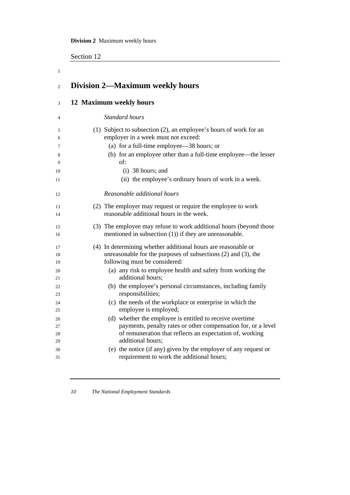Section 12

1

| $\overline{c}$ | <b>Division 2—Maximum weekly hours</b>                             |
|----------------|--------------------------------------------------------------------|
| 3              | 12 Maximum weekly hours                                            |
| 4              | Standard hours                                                     |
| 5              | (1) Subject to subsection (2), an employee's hours of work for an  |
| 6              | employer in a week must not exceed:                                |
| 7              | (a) for a full-time employee—38 hours; or                          |
| 8              | (b) for an employee other than a full-time employee—the lesser     |
| 9              | of:                                                                |
| 10             | $(i)$ 38 hours; and                                                |
| 11             | (ii) the employee's ordinary hours of work in a week.              |
| 12             | Reasonable additional hours                                        |
| 13             | (2) The employer may request or require the employee to work       |
| 14             | reasonable additional hours in the week.                           |
| 15             | (3) The employee may refuse to work additional hours (beyond those |
| 16             | mentioned in subsection $(1)$ ) if they are unreasonable.          |
| 17             | (4) In determining whether additional hours are reasonable or      |
| 18             | unreasonable for the purposes of subsections $(2)$ and $(3)$ , the |
| 19             | following must be considered:                                      |
| 20             | (a) any risk to employee health and safety from working the        |
| 21             | additional hours;                                                  |
| 22             | (b) the employee's personal circumstances, including family        |
| 23             | responsibilities;                                                  |
| 24             | (c) the needs of the workplace or enterprise in which the          |
| 25             | employee is employed;                                              |
| 26             | (d) whether the employee is entitled to receive overtime           |
| 27             | payments, penalty rates or other compensation for, or a level      |
| 28             | of remuneration that reflects an expectation of, working           |
| 29             | additional hours:                                                  |
| 30             | (e) the notice (if any) given by the employer of any request or    |
| 31             | requirement to work the additional hours;                          |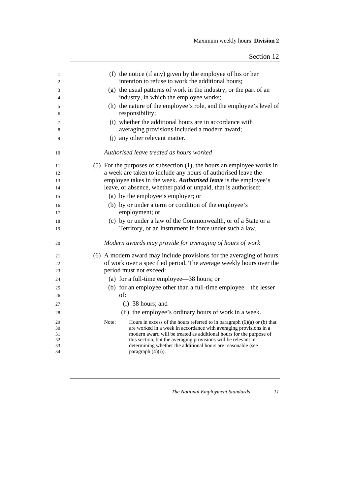| 1        | (f) the notice (if any) given by the employee of his or her                                                                              |
|----------|------------------------------------------------------------------------------------------------------------------------------------------|
| 2        | intention to refuse to work the additional hours;                                                                                        |
| 3        | (g) the usual patterns of work in the industry, or the part of an                                                                        |
| 4        | industry, in which the employee works;                                                                                                   |
| 5        | (h) the nature of the employee's role, and the employee's level of                                                                       |
| 6        | responsibility;                                                                                                                          |
| 7        | (i) whether the additional hours are in accordance with                                                                                  |
| 8        | averaging provisions included a modern award;                                                                                            |
| 9        | (j) any other relevant matter.                                                                                                           |
| 10       | Authorised leave treated as hours worked                                                                                                 |
| 11       | $(5)$ For the purposes of subsection $(1)$ , the hours an employee works in                                                              |
| 12       | a week are taken to include any hours of authorised leave the                                                                            |
| 13       | employee takes in the week. Authorised leave is the employee's                                                                           |
| 14       | leave, or absence, whether paid or unpaid, that is authorised:                                                                           |
| 15       | (a) by the employee's employer; or                                                                                                       |
| 16       | (b) by or under a term or condition of the employee's                                                                                    |
| 17       | employment; or                                                                                                                           |
| 18       | (c) by or under a law of the Commonwealth, or of a State or a                                                                            |
| 19       | Territory, or an instrument in force under such a law.                                                                                   |
| 20       | Modern awards may provide for averaging of hours of work                                                                                 |
| 21       | (6) A modern award may include provisions for the averaging of hours                                                                     |
| 22       | of work over a specified period. The average weekly hours over the                                                                       |
| 23       | period must not exceed:                                                                                                                  |
| 24       | (a) for a full-time employee—38 hours; or                                                                                                |
| 25       | (b) for an employee other than a full-time employee—the lesser                                                                           |
| 26       | of:                                                                                                                                      |
| 27       | $(i)$ 38 hours; and                                                                                                                      |
| 28       | (ii) the employee's ordinary hours of work in a week.                                                                                    |
| 29       | Note:<br>Hours in excess of the hours referred to in paragraph $(6)(a)$ or $(b)$ that                                                    |
| 30<br>31 | are worked in a week in accordance with averaging provisions in a<br>modern award will be treated as additional hours for the purpose of |
| 32       | this section, but the averaging provisions will be relevant in                                                                           |
| 33       | determining whether the additional hours are reasonable (see                                                                             |
| 34       | paragraph $(4)(i)$ ).                                                                                                                    |
|          |                                                                                                                                          |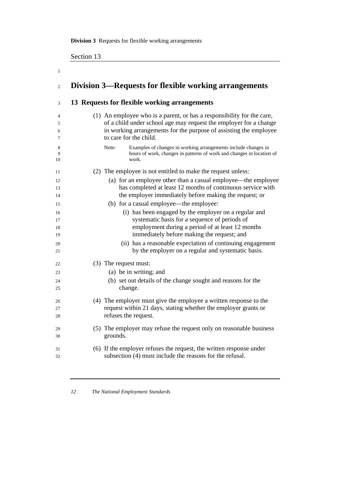**Division 3** Requests for flexible working arrangements

Section 13

| Division 3—Requests for flexible working arrangements                                                                                                     |
|-----------------------------------------------------------------------------------------------------------------------------------------------------------|
| 13 Requests for flexible working arrangements                                                                                                             |
|                                                                                                                                                           |
| (1) An employee who is a parent, or has a responsibility for the care,                                                                                    |
| of a child under school age may request the employer for a change<br>in working arrangements for the purpose of assisting the employee                    |
| to care for the child.                                                                                                                                    |
| Note:<br>Examples of changes in working arrangements include changes in<br>hours of work, changes in patterns of work and changes in location of<br>work. |
| (2) The employee is not entitled to make the request unless:                                                                                              |
| (a) for an employee other than a casual employee—the employee                                                                                             |
| has completed at least 12 months of continuous service with                                                                                               |
| the employer immediately before making the request; or                                                                                                    |
| (b) for a casual employee—the employee:                                                                                                                   |
| (i) has been engaged by the employer on a regular and                                                                                                     |
| systematic basis for a sequence of periods of                                                                                                             |
| employment during a period of at least 12 months<br>immediately before making the request; and                                                            |
| (ii) has a reasonable expectation of continuing engagement<br>by the employer on a regular and systematic basis.                                          |
| (3) The request must:                                                                                                                                     |
| (a) be in writing; and                                                                                                                                    |
| (b) set out details of the change sought and reasons for the                                                                                              |
| change.                                                                                                                                                   |
| (4) The employer must give the employee a written response to the                                                                                         |
| request within 21 days, stating whether the employer grants or                                                                                            |
| refuses the request.                                                                                                                                      |
| (5) The employer may refuse the request only on reasonable business                                                                                       |
| grounds.                                                                                                                                                  |
| (6) If the employer refuses the request, the written response under                                                                                       |
| subsection (4) must include the reasons for the refusal.                                                                                                  |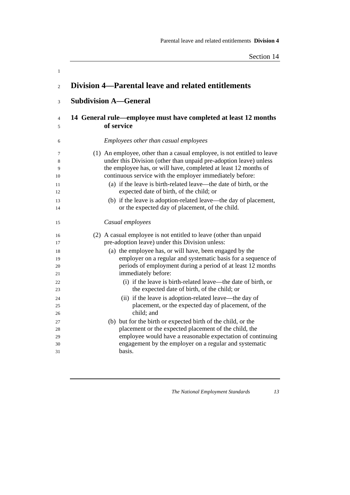| Division 4—Parental leave and related entitlements                                                                                                                                                                                                                                                                                                                                                                                                                                                                  |
|---------------------------------------------------------------------------------------------------------------------------------------------------------------------------------------------------------------------------------------------------------------------------------------------------------------------------------------------------------------------------------------------------------------------------------------------------------------------------------------------------------------------|
| <b>Subdivision A—General</b>                                                                                                                                                                                                                                                                                                                                                                                                                                                                                        |
| 14 General rule—employee must have completed at least 12 months<br>of service                                                                                                                                                                                                                                                                                                                                                                                                                                       |
| Employees other than casual employees                                                                                                                                                                                                                                                                                                                                                                                                                                                                               |
| (1) An employee, other than a casual employee, is not entitled to leave<br>under this Division (other than unpaid pre-adoption leave) unless<br>the employee has, or will have, completed at least 12 months of<br>continuous service with the employer immediately before:<br>(a) if the leave is birth-related leave—the date of birth, or the<br>expected date of birth, of the child; or<br>(b) if the leave is adoption-related leave—the day of placement,<br>or the expected day of placement, of the child. |
| Casual employees                                                                                                                                                                                                                                                                                                                                                                                                                                                                                                    |
| (2) A casual employee is not entitled to leave (other than unpaid<br>pre-adoption leave) under this Division unless:<br>(a) the employee has, or will have, been engaged by the<br>employer on a regular and systematic basis for a sequence of<br>periods of employment during a period of at least 12 months<br>immediately before:<br>(i) if the leave is birth-related leave—the date of birth, or                                                                                                              |
| the expected date of birth, of the child; or<br>(ii) if the leave is adoption-related leave—the day of<br>placement, or the expected day of placement, of the<br>child; and<br>(b) but for the birth or expected birth of the child, or the<br>placement or the expected placement of the child, the<br>employee would have a reasonable expectation of continuing<br>engagement by the employer on a regular and systematic<br>basis.                                                                              |
|                                                                                                                                                                                                                                                                                                                                                                                                                                                                                                                     |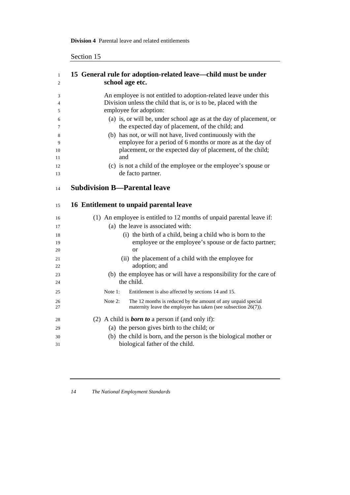## **Division 4** Parental leave and related entitlements

## Section 15

| $\mathbf{1}$<br>2 | 15 General rule for adoption-related leave—child must be under<br>school age etc.                                       |
|-------------------|-------------------------------------------------------------------------------------------------------------------------|
| 3                 | An employee is not entitled to adoption-related leave under this                                                        |
| 4                 | Division unless the child that is, or is to be, placed with the                                                         |
| 5                 | employee for adoption:                                                                                                  |
| 6<br>7            | (a) is, or will be, under school age as at the day of placement, or<br>the expected day of placement, of the child; and |
| 8                 | (b) has not, or will not have, lived continuously with the                                                              |
| 9                 | employee for a period of 6 months or more as at the day of                                                              |
| 10                | placement, or the expected day of placement, of the child;                                                              |
| 11                | and                                                                                                                     |
| 12                | (c) is not a child of the employee or the employee's spouse or                                                          |
| 13                | de facto partner.                                                                                                       |
| 14                | <b>Subdivision B-Parental leave</b>                                                                                     |
| 15                | 16 Entitlement to unpaid parental leave                                                                                 |
| 16                | (1) An employee is entitled to 12 months of unpaid parental leave if:                                                   |
| 17                | (a) the leave is associated with:                                                                                       |
| 18                | (i) the birth of a child, being a child who is born to the                                                              |
| 19                | employee or the employee's spouse or de facto partner;                                                                  |
| 20                | or                                                                                                                      |
| 21                | (ii) the placement of a child with the employee for                                                                     |
| 22                | adoption; and                                                                                                           |
| 23                | (b) the employee has or will have a responsibility for the care of                                                      |
| 24                | the child.                                                                                                              |
| 25                | Entitlement is also affected by sections 14 and 15.<br>Note $1$ :                                                       |
| 26                | Note 2:<br>The 12 months is reduced by the amount of any unpaid special                                                 |
| 27                | maternity leave the employee has taken (see subsection $26(7)$ ).                                                       |
| 28                | (2) A child is <b>born to</b> a person if (and only if):                                                                |
| 29                | (a) the person gives birth to the child; or                                                                             |
| 30                | (b) the child is born, and the person is the biological mother or                                                       |
| 31                | biological father of the child.                                                                                         |
|                   |                                                                                                                         |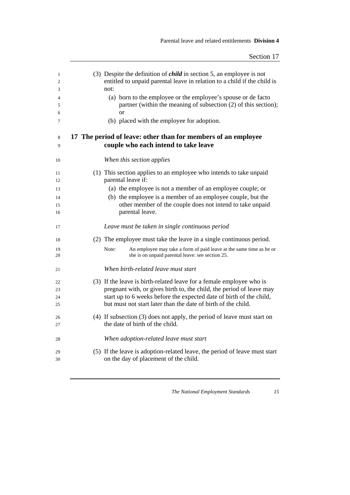| 1<br>$\overline{c}$<br>3 | (3) Despite the definition of <i>child</i> in section 5, an employee is not<br>entitled to unpaid parental leave in relation to a child if the child is<br>not: |
|--------------------------|-----------------------------------------------------------------------------------------------------------------------------------------------------------------|
| 4<br>5                   | (a) born to the employee or the employee's spouse or de facto<br>partner (within the meaning of subsection (2) of this section);                                |
| 6                        | or                                                                                                                                                              |
| 7                        | (b) placed with the employee for adoption.                                                                                                                      |
| 8<br>9                   | 17 The period of leave: other than for members of an employee<br>couple who each intend to take leave                                                           |
| 10                       | When this section applies                                                                                                                                       |
| 11<br>12                 | (1) This section applies to an employee who intends to take unpaid<br>parental leave if:                                                                        |
| 13                       | (a) the employee is not a member of an employee couple; or                                                                                                      |
| 14                       | (b) the employee is a member of an employee couple, but the                                                                                                     |
| 15                       | other member of the couple does not intend to take unpaid                                                                                                       |
| 16                       | parental leave.                                                                                                                                                 |
| 17                       | Leave must be taken in single continuous period                                                                                                                 |
| 18                       | (2) The employee must take the leave in a single continuous period.                                                                                             |
| 19<br>20                 | Note:<br>An employee may take a form of paid leave at the same time as he or<br>she is on unpaid parental leave: see section 25.                                |
| 21                       | When birth-related leave must start                                                                                                                             |
| 22                       | (3) If the leave is birth-related leave for a female employee who is                                                                                            |
| 23                       | pregnant with, or gives birth to, the child, the period of leave may                                                                                            |
| 24                       | start up to 6 weeks before the expected date of birth of the child,                                                                                             |
| 25                       | but must not start later than the date of birth of the child.                                                                                                   |
| 26<br>27                 | (4) If subsection (3) does not apply, the period of leave must start on<br>the date of birth of the child.                                                      |
| 28                       | When adoption-related leave must start                                                                                                                          |
| 29<br>30                 | (5) If the leave is adoption-related leave, the period of leave must start<br>on the day of placement of the child.                                             |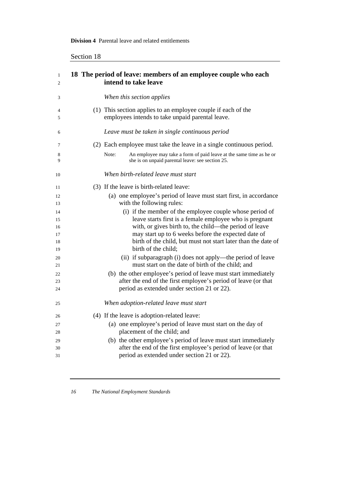| −cuon – |  |
|---------|--|
|         |  |

| $\mathbf{1}$<br>2 | 18 The period of leave: members of an employee couple who each<br>intend to take leave                                           |
|-------------------|----------------------------------------------------------------------------------------------------------------------------------|
| 3                 | When this section applies                                                                                                        |
| 4<br>5            | (1) This section applies to an employee couple if each of the<br>employees intends to take unpaid parental leave.                |
| 6                 | Leave must be taken in single continuous period                                                                                  |
| 7                 | (2) Each employee must take the leave in a single continuous period.                                                             |
| 8<br>9            | Note:<br>An employee may take a form of paid leave at the same time as he or<br>she is on unpaid parental leave: see section 25. |
| 10                | When birth-related leave must start                                                                                              |
| 11                | (3) If the leave is birth-related leave:                                                                                         |
| 12                | (a) one employee's period of leave must start first, in accordance                                                               |
| 13                | with the following rules:                                                                                                        |
| 14                | (i) if the member of the employee couple whose period of                                                                         |
| 15                | leave starts first is a female employee who is pregnant                                                                          |
| 16                | with, or gives birth to, the child—the period of leave                                                                           |
| 17<br>18          | may start up to 6 weeks before the expected date of<br>birth of the child, but must not start later than the date of             |
| 19                | birth of the child;                                                                                                              |
| 20                | (ii) if subparagraph (i) does not apply—the period of leave                                                                      |
| 21                | must start on the date of birth of the child; and                                                                                |
| 22                | (b) the other employee's period of leave must start immediately                                                                  |
| 23                | after the end of the first employee's period of leave (or that                                                                   |
| 24                | period as extended under section 21 or 22).                                                                                      |
| 25                | When adoption-related leave must start                                                                                           |
| 26                | (4) If the leave is adoption-related leave:                                                                                      |
| 27                | (a) one employee's period of leave must start on the day of                                                                      |
| 28                | placement of the child; and                                                                                                      |
| 29                | (b) the other employee's period of leave must start immediately                                                                  |
| 30                | after the end of the first employee's period of leave (or that                                                                   |
| 31                | period as extended under section 21 or 22).                                                                                      |

<u> 1980 - Johann Barn, mars ar breithinn ar chuid ann an t-Alban ann an t-Alban ann an t-Alban ann an t-Alban a</u>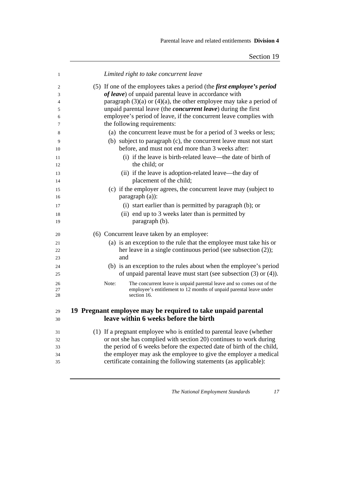| 1        | Limited right to take concurrent leave                                                                                                    |
|----------|-------------------------------------------------------------------------------------------------------------------------------------------|
| 2        | (5) If one of the employees takes a period (the <i>first employee's period</i>                                                            |
| 3        | of leave) of unpaid parental leave in accordance with                                                                                     |
| 4        | paragraph $(3)(a)$ or $(4)(a)$ , the other employee may take a period of                                                                  |
| 5        | unpaid parental leave (the concurrent leave) during the first                                                                             |
| 6        | employee's period of leave, if the concurrent leave complies with                                                                         |
| 7        | the following requirements:                                                                                                               |
| 8        | (a) the concurrent leave must be for a period of 3 weeks or less;                                                                         |
| 9        | (b) subject to paragraph (c), the concurrent leave must not start                                                                         |
| 10       | before, and must not end more than 3 weeks after:                                                                                         |
| 11       | (i) if the leave is birth-related leave—the date of birth of                                                                              |
| 12       | the child; or                                                                                                                             |
| 13       | (ii) if the leave is adoption-related leave—the day of                                                                                    |
| 14       | placement of the child;                                                                                                                   |
| 15       | (c) if the employer agrees, the concurrent leave may (subject to                                                                          |
| 16       | paragraph (a)):                                                                                                                           |
| 17       | (i) start earlier than is permitted by paragraph (b); or                                                                                  |
| 18       | (ii) end up to 3 weeks later than is permitted by                                                                                         |
| 19       | paragraph (b).                                                                                                                            |
| 20       | (6) Concurrent leave taken by an employee:                                                                                                |
| 21       | (a) is an exception to the rule that the employee must take his or                                                                        |
| 22       | her leave in a single continuous period (see subsection (2));                                                                             |
| 23       | and                                                                                                                                       |
| 24       | (b) is an exception to the rules about when the employee's period                                                                         |
| 25       | of unpaid parental leave must start (see subsection $(3)$ or $(4)$ ).                                                                     |
| 26       | Note:<br>The concurrent leave is unpaid parental leave and so comes out of the                                                            |
| 27<br>28 | employee's entitlement to 12 months of unpaid parental leave under<br>section 16.                                                         |
|          |                                                                                                                                           |
| 29       | 19 Pregnant employee may be required to take unpaid parental                                                                              |
| 30       | leave within 6 weeks before the birth                                                                                                     |
|          |                                                                                                                                           |
| 31       | (1) If a pregnant employee who is entitled to parental leave (whether                                                                     |
| 32       | or not she has complied with section 20) continues to work during                                                                         |
| 33       | the period of 6 weeks before the expected date of birth of the child,<br>the employer may ask the employee to give the employer a medical |
| 34<br>35 | certificate containing the following statements (as applicable):                                                                          |
|          |                                                                                                                                           |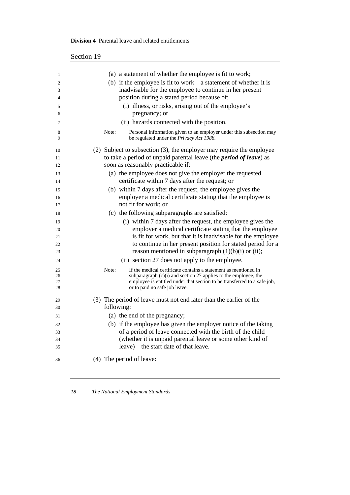#### **Division 4** Parental leave and related entitlements

| 1        | (a) a statement of whether the employee is fit to work;                                                                  |
|----------|--------------------------------------------------------------------------------------------------------------------------|
| 2        | (b) if the employee is fit to work—a statement of whether it is                                                          |
| 3        | inadvisable for the employee to continue in her present                                                                  |
| 4        | position during a stated period because of:                                                                              |
| 5        | (i) illness, or risks, arising out of the employee's                                                                     |
| 6        | pregnancy; or                                                                                                            |
| 7        | (ii) hazards connected with the position.                                                                                |
| 8<br>9   | Personal information given to an employer under this subsection may<br>Note:<br>be regulated under the Privacy Act 1988. |
| 10       | (2) Subject to subsection (3), the employer may require the employee                                                     |
| 11       | to take a period of unpaid parental leave (the <i>period of leave</i> ) as                                               |
| 12       | soon as reasonably practicable if:                                                                                       |
| 13       | (a) the employee does not give the employer the requested                                                                |
| 14       | certificate within 7 days after the request; or                                                                          |
| 15       | (b) within 7 days after the request, the employee gives the                                                              |
| 16       | employer a medical certificate stating that the employee is                                                              |
| 17       | not fit for work; or                                                                                                     |
| 18       | (c) the following subparagraphs are satisfied:                                                                           |
| 19       | (i) within 7 days after the request, the employee gives the                                                              |
| 20       | employer a medical certificate stating that the employee                                                                 |
| 21       | is fit for work, but that it is inadvisable for the employee                                                             |
| 22       | to continue in her present position for stated period for a                                                              |
| 23       | reason mentioned in subparagraph $(1)(b)(i)$ or $(ii)$ ;                                                                 |
| 24       | (ii) section 27 does not apply to the employee.                                                                          |
| 25       | Note:<br>If the medical certificate contains a statement as mentioned in                                                 |
| 26       | subparagraph $(c)(i)$ and section 27 applies to the employee, the                                                        |
| 27<br>28 | employee is entitled under that section to be transferred to a safe job,<br>or to paid no safe job leave.                |
|          |                                                                                                                          |
| 29<br>30 | (3) The period of leave must not end later than the earlier of the<br>following:                                         |
|          |                                                                                                                          |
| 31       | (a) the end of the pregnancy;                                                                                            |
| 32       | (b) if the employee has given the employer notice of the taking                                                          |
| 33       | of a period of leave connected with the birth of the child                                                               |
| 34       | (whether it is unpaid parental leave or some other kind of                                                               |
| 35       | leave)—the start date of that leave.                                                                                     |
| 36       | (4) The period of leave:                                                                                                 |

<u> 1989 - Johann Stoff, deutscher Stoffen und der Stoffen und der Stoffen und der Stoffen und der Stoffen und der</u>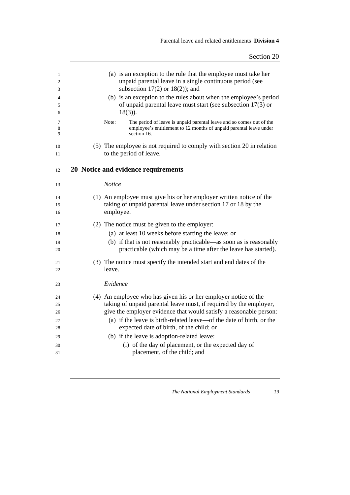| 1<br>$\overline{c}$ | (a) is an exception to the rule that the employee must take her<br>unpaid parental leave in a single continuous period (see                                        |
|---------------------|--------------------------------------------------------------------------------------------------------------------------------------------------------------------|
| 3                   | subsection $17(2)$ or $18(2)$ ; and                                                                                                                                |
| 4<br>5              | (b) is an exception to the rules about when the employee's period<br>of unpaid parental leave must start (see subsection 17(3) or                                  |
| 6                   | $18(3)$ ).                                                                                                                                                         |
| 7<br>8<br>9         | Note:<br>The period of leave is unpaid parental leave and so comes out of the<br>employee's entitlement to 12 months of unpaid parental leave under<br>section 16. |
| 10                  | (5) The employee is not required to comply with section 20 in relation                                                                                             |
| 11                  | to the period of leave.                                                                                                                                            |
| 12                  | 20 Notice and evidence requirements                                                                                                                                |
| 13                  | <b>Notice</b>                                                                                                                                                      |
| 14                  | (1) An employee must give his or her employer written notice of the                                                                                                |
| 15                  | taking of unpaid parental leave under section 17 or 18 by the                                                                                                      |
| 16                  | employee.                                                                                                                                                          |
| 17                  | (2) The notice must be given to the employer:                                                                                                                      |
| 18                  | (a) at least 10 weeks before starting the leave; or                                                                                                                |
| 19                  | (b) if that is not reasonably practicable—as soon as is reasonably                                                                                                 |
| 20                  | practicable (which may be a time after the leave has started).                                                                                                     |
| 21                  | (3) The notice must specify the intended start and end dates of the                                                                                                |
| 22                  | leave.                                                                                                                                                             |
| 23                  | Evidence                                                                                                                                                           |
| 24                  | (4) An employee who has given his or her employer notice of the                                                                                                    |
| 25                  | taking of unpaid parental leave must, if required by the employer,                                                                                                 |
| 26                  | give the employer evidence that would satisfy a reasonable person:                                                                                                 |
| 27                  | (a) if the leave is birth-related leave—of the date of birth, or the                                                                                               |
| 28                  | expected date of birth, of the child; or                                                                                                                           |
| 29                  | (b) if the leave is adoption-related leave:                                                                                                                        |
| 30                  | (i) of the day of placement, or the expected day of                                                                                                                |
| 31                  | placement, of the child; and                                                                                                                                       |
|                     |                                                                                                                                                                    |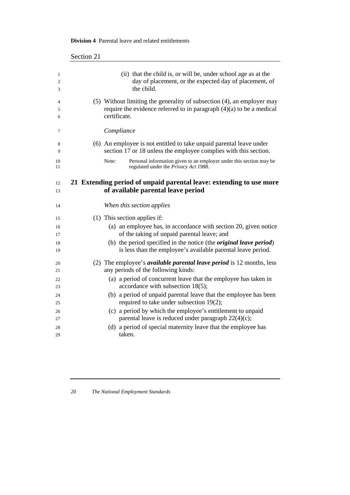| Section 21                                                                                                                                                       |
|------------------------------------------------------------------------------------------------------------------------------------------------------------------|
| (ii) that the child is, or will be, under school age as at the<br>day of placement, or the expected day of placement, of<br>the child.                           |
| (5) Without limiting the generality of subsection (4), an employer may<br>require the evidence referred to in paragraph $(4)(a)$ to be a medical<br>certificate. |
| Compliance                                                                                                                                                       |
| (6) An employee is not entitled to take unpaid parental leave under<br>section 17 or 18 unless the employee complies with this section.                          |
| Note:<br>Personal information given to an employer under this section may be<br>regulated under the Privacy Act 1988.                                            |
| 21 Extending period of unpaid parental leave: extending to use more<br>of available parental leave period                                                        |
| When this section applies                                                                                                                                        |
| (1) This section applies if:                                                                                                                                     |
| (a) an employee has, in accordance with section 20, given notice                                                                                                 |
| of the taking of unpaid parental leave; and                                                                                                                      |
| (b) the period specified in the notice (the <i>original leave period</i> )<br>is less than the employee's available parental leave period.                       |
| (2) The employee's <i>available parental leave period</i> is 12 months, less                                                                                     |
| any periods of the following kinds:                                                                                                                              |
| (a) a period of concurrent leave that the employee has taken in                                                                                                  |
| accordance with subsection 18(5);                                                                                                                                |
| (b) a period of unpaid parental leave that the employee has been<br>required to take under subsection 19(2);                                                     |
| (c) a period by which the employee's entitlement to unpaid                                                                                                       |
| parental leave is reduced under paragraph 22(4)(c);                                                                                                              |
|                                                                                                                                                                  |
| (d) a period of special maternity leave that the employee has                                                                                                    |

#### **Division 4** Parental leave and related entitlements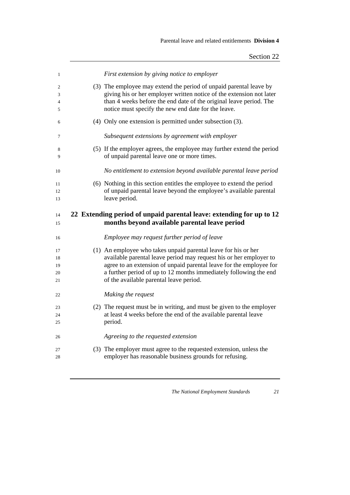| $\mathbf{1}$ | First extension by giving notice to employer                           |
|--------------|------------------------------------------------------------------------|
| 2            | (3) The employee may extend the period of unpaid parental leave by     |
| 3            | giving his or her employer written notice of the extension not later   |
| 4            | than 4 weeks before the end date of the original leave period. The     |
| 5            | notice must specify the new end date for the leave.                    |
| 6            | (4) Only one extension is permitted under subsection (3).              |
| 7            | Subsequent extensions by agreement with employer                       |
| 8            | (5) If the employer agrees, the employee may further extend the period |
| 9            | of unpaid parental leave one or more times.                            |
| 10           | No entitlement to extension beyond available parental leave period     |
| 11           | (6) Nothing in this section entitles the employee to extend the period |
| 12           | of unpaid parental leave beyond the employee's available parental      |
| 13           | leave period.                                                          |
|              |                                                                        |
| 14           | 22 Extending period of unpaid parental leave: extending for up to 12   |
| 15           | months beyond available parental leave period                          |
| 16           | Employee may request further period of leave                           |
| 17           | (1) An employee who takes unpaid parental leave for his or her         |
| 18           | available parental leave period may request his or her employer to     |
| 19           | agree to an extension of unpaid parental leave for the employee for    |
| 20           | a further period of up to 12 months immediately following the end      |
| 21           | of the available parental leave period.                                |
| 22           | Making the request                                                     |
| 23           | (2) The request must be in writing, and must be given to the employer  |
| 24           | at least 4 weeks before the end of the available parental leave        |
| 25           | period.                                                                |
| 26           | Agreeing to the requested extension                                    |
| 27           | (3) The employer must agree to the requested extension, unless the     |
| 28           | employer has reasonable business grounds for refusing.                 |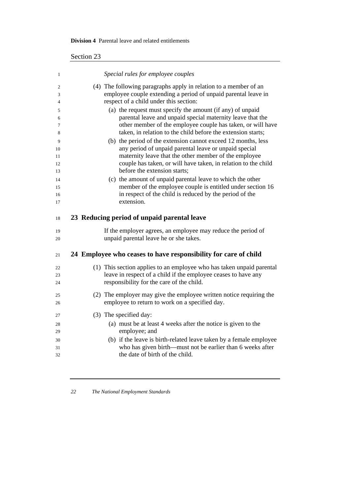### **Division 4** Parental leave and related entitlements

| 1              | Special rules for employee couples                                                                                       |
|----------------|--------------------------------------------------------------------------------------------------------------------------|
| $\overline{2}$ | (4) The following paragraphs apply in relation to a member of an                                                         |
| 3              | employee couple extending a period of unpaid parental leave in                                                           |
| 4              | respect of a child under this section:                                                                                   |
| 5              | (a) the request must specify the amount (if any) of unpaid                                                               |
| 6              | parental leave and unpaid special maternity leave that the                                                               |
| 7              | other member of the employee couple has taken, or will have                                                              |
| 8              | taken, in relation to the child before the extension starts;                                                             |
| 9              | (b) the period of the extension cannot exceed 12 months, less                                                            |
| 10             | any period of unpaid parental leave or unpaid special                                                                    |
| 11             | maternity leave that the other member of the employee                                                                    |
| 12             | couple has taken, or will have taken, in relation to the child<br>before the extension starts;                           |
| 13             |                                                                                                                          |
| 14<br>15       | (c) the amount of unpaid parental leave to which the other<br>member of the employee couple is entitled under section 16 |
| 16             | in respect of the child is reduced by the period of the                                                                  |
| 17             | extension.                                                                                                               |
|                |                                                                                                                          |
| 18             | 23 Reducing period of unpaid parental leave                                                                              |
| 19             | If the employer agrees, an employee may reduce the period of                                                             |
| 20             | unpaid parental leave he or she takes.                                                                                   |
| 21             | 24 Employee who ceases to have responsibility for care of child                                                          |
| 22             | (1) This section applies to an employee who has taken unpaid parental                                                    |
| 23             | leave in respect of a child if the employee ceases to have any                                                           |
|                |                                                                                                                          |
| 24             | responsibility for the care of the child.                                                                                |
| 25             | (2) The employer may give the employee written notice requiring the                                                      |
| 26             | employee to return to work on a specified day.                                                                           |
| 27             |                                                                                                                          |
|                | (3) The specified day:                                                                                                   |
| 28<br>29       | (a) must be at least 4 weeks after the notice is given to the                                                            |
| 30             | employee; and                                                                                                            |
| 31             | (b) if the leave is birth-related leave taken by a female employee                                                       |
| 32             | who has given birth—must not be earlier than 6 weeks after<br>the date of birth of the child.                            |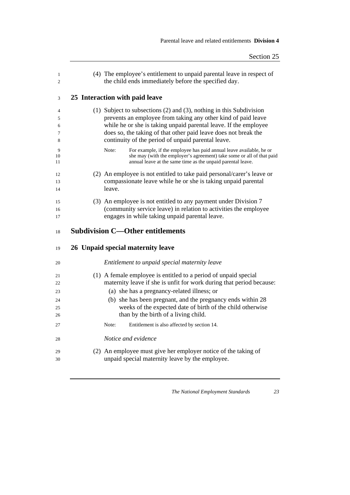| $\mathbf{1}$<br>$\mathfrak{2}$ | (4) The employee's entitlement to unpaid parental leave in respect of<br>the child ends immediately before the specified day.                                                                               |
|--------------------------------|-------------------------------------------------------------------------------------------------------------------------------------------------------------------------------------------------------------|
| 3                              | 25 Interaction with paid leave                                                                                                                                                                              |
| 4                              | (1) Subject to subsections $(2)$ and $(3)$ , nothing in this Subdivision                                                                                                                                    |
| 5                              | prevents an employee from taking any other kind of paid leave<br>while he or she is taking unpaid parental leave. If the employee                                                                           |
| 6<br>7<br>8                    | does so, the taking of that other paid leave does not break the<br>continuity of the period of unpaid parental leave.                                                                                       |
|                                | Note:                                                                                                                                                                                                       |
| 9<br>10<br>11                  | For example, if the employee has paid annual leave available, he or<br>she may (with the employer's agreement) take some or all of that paid<br>annual leave at the same time as the unpaid parental leave. |
| 12                             | (2) An employee is not entitled to take paid personal/carer's leave or                                                                                                                                      |
| 13                             | compassionate leave while he or she is taking unpaid parental                                                                                                                                               |
| 14                             | leave.                                                                                                                                                                                                      |
| 15                             | (3) An employee is not entitled to any payment under Division 7                                                                                                                                             |
| 16                             | (community service leave) in relation to activities the employee                                                                                                                                            |
| 17                             | engages in while taking unpaid parental leave.                                                                                                                                                              |
|                                |                                                                                                                                                                                                             |
| 18                             | <b>Subdivision C-Other entitlements</b>                                                                                                                                                                     |
| 19                             | 26 Unpaid special maternity leave                                                                                                                                                                           |
| 20                             | Entitlement to unpaid special maternity leave                                                                                                                                                               |
| 21                             | (1) A female employee is entitled to a period of unpaid special                                                                                                                                             |
| 22                             | maternity leave if she is unfit for work during that period because:                                                                                                                                        |
| 23                             | (a) she has a pregnancy-related illness; or                                                                                                                                                                 |
| 24                             | (b) she has been pregnant, and the pregnancy ends within 28                                                                                                                                                 |
| 25                             | weeks of the expected date of birth of the child otherwise                                                                                                                                                  |
| 26                             | than by the birth of a living child.                                                                                                                                                                        |
| 27                             | Entitlement is also affected by section 14.<br>Note:                                                                                                                                                        |
| 28                             | Notice and evidence                                                                                                                                                                                         |
| 29                             | (2) An employee must give her employer notice of the taking of                                                                                                                                              |
| 30                             | unpaid special maternity leave by the employee.                                                                                                                                                             |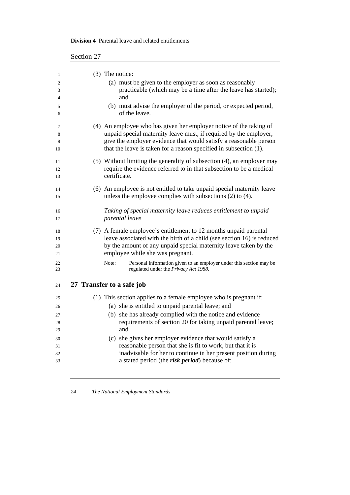|  |  |  |  | <b>Division 4</b> Parental leave and related entitlements |
|--|--|--|--|-----------------------------------------------------------|
|--|--|--|--|-----------------------------------------------------------|

| 1  | (3) The notice:                                                              |
|----|------------------------------------------------------------------------------|
| 2  | (a) must be given to the employer as soon as reasonably                      |
| 3  | practicable (which may be a time after the leave has started);               |
| 4  | and                                                                          |
| 5  | (b) must advise the employer of the period, or expected period,              |
| 6  | of the leave.                                                                |
| 7  | (4) An employee who has given her employer notice of the taking of           |
| 8  | unpaid special maternity leave must, if required by the employer,            |
| 9  | give the employer evidence that would satisfy a reasonable person            |
| 10 | that the leave is taken for a reason specified in subsection (1).            |
| 11 | (5) Without limiting the generality of subsection (4), an employer may       |
| 12 | require the evidence referred to in that subsection to be a medical          |
| 13 | certificate.                                                                 |
| 14 | (6) An employee is not entitled to take unpaid special maternity leave       |
| 15 | unless the employee complies with subsections $(2)$ to $(4)$ .               |
|    |                                                                              |
| 16 | Taking of special maternity leave reduces entitlement to unpaid              |
| 17 | parental leave                                                               |
| 18 | (7) A female employee's entitlement to 12 months unpaid parental             |
| 19 | leave associated with the birth of a child (see section 16) is reduced       |
| 20 | by the amount of any unpaid special maternity leave taken by the             |
| 21 | employee while she was pregnant.                                             |
| 22 | Note:<br>Personal information given to an employer under this section may be |
| 23 | regulated under the Privacy Act 1988.                                        |
| 24 | 27 Transfer to a safe job                                                    |
| 25 | (1) This section applies to a female employee who is pregnant if:            |
| 26 | (a) she is entitled to unpaid parental leave; and                            |
| 27 | (b) she has already complied with the notice and evidence                    |
| 28 | requirements of section 20 for taking unpaid parental leave;                 |
| 29 | and                                                                          |
| 30 | (c) she gives her employer evidence that would satisfy a                     |
| 31 | reasonable person that she is fit to work, but that it is                    |
| 32 | inadvisable for her to continue in her present position during               |
| 33 | a stated period (the risk period) because of:                                |
|    |                                                                              |

<u> 1980 - Johann Barbara, martxa amerikan personal (h. 1980).</u>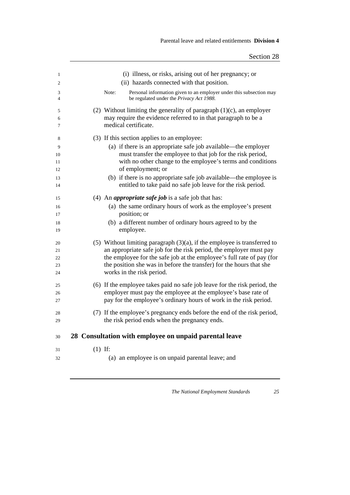| 1                          |           | (i) illness, or risks, arising out of her pregnancy; or                                                                                                                                                                                                                                                                          |
|----------------------------|-----------|----------------------------------------------------------------------------------------------------------------------------------------------------------------------------------------------------------------------------------------------------------------------------------------------------------------------------------|
| 2                          |           | (ii) hazards connected with that position.                                                                                                                                                                                                                                                                                       |
| 3<br>$\overline{4}$        |           | Personal information given to an employer under this subsection may<br>Note:<br>be regulated under the Privacy Act 1988.                                                                                                                                                                                                         |
| 5<br>6<br>7                |           | (2) Without limiting the generality of paragraph $(1)(c)$ , an employer<br>may require the evidence referred to in that paragraph to be a<br>medical certificate.                                                                                                                                                                |
| 8                          |           | (3) If this section applies to an employee:                                                                                                                                                                                                                                                                                      |
| 9<br>10<br>11<br>12        |           | (a) if there is an appropriate safe job available—the employer<br>must transfer the employee to that job for the risk period,<br>with no other change to the employee's terms and conditions<br>of employment; or                                                                                                                |
| 13<br>14                   |           | (b) if there is no appropriate safe job available—the employee is<br>entitled to take paid no safe job leave for the risk period.                                                                                                                                                                                                |
| 15                         |           | (4) An <i>appropriate safe job</i> is a safe job that has:                                                                                                                                                                                                                                                                       |
| 16<br>17                   |           | (a) the same ordinary hours of work as the employee's present<br>position; or                                                                                                                                                                                                                                                    |
| 18<br>19                   |           | (b) a different number of ordinary hours agreed to by the<br>employee.                                                                                                                                                                                                                                                           |
| 20<br>21<br>22<br>23<br>24 |           | $(5)$ Without limiting paragraph $(3)(a)$ , if the employee is transferred to<br>an appropriate safe job for the risk period, the employer must pay<br>the employee for the safe job at the employee's full rate of pay (for<br>the position she was in before the transfer) for the hours that she<br>works in the risk period. |
| 25<br>26<br>27             |           | (6) If the employee takes paid no safe job leave for the risk period, the<br>employer must pay the employee at the employee's base rate of<br>pay for the employee's ordinary hours of work in the risk period.                                                                                                                  |
| 28<br>29                   |           | (7) If the employee's pregnancy ends before the end of the risk period,<br>the risk period ends when the pregnancy ends.                                                                                                                                                                                                         |
| 30                         |           | 28 Consultation with employee on unpaid parental leave                                                                                                                                                                                                                                                                           |
| 31                         | $(1)$ If: |                                                                                                                                                                                                                                                                                                                                  |
| 32                         |           | (a) an employee is on unpaid parental leave; and                                                                                                                                                                                                                                                                                 |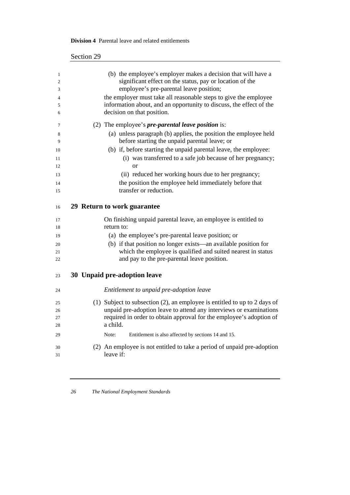| 500 |                                                                           |
|-----|---------------------------------------------------------------------------|
|     |                                                                           |
|     | (b) the employee's employer makes a decision that will have a             |
|     | significant effect on the status, pay or location of the                  |
|     | employee's pre-parental leave position;                                   |
|     | the employer must take all reasonable steps to give the employee          |
|     | information about, and an opportunity to discuss, the effect of the       |
|     | decision on that position.                                                |
|     | (2) The employee's <i>pre-parental leave position</i> is:                 |
|     | (a) unless paragraph (b) applies, the position the employee held          |
|     | before starting the unpaid parental leave; or                             |
|     | (b) if, before starting the unpaid parental leave, the employee:          |
|     | (i) was transferred to a safe job because of her pregnancy;               |
|     | <b>or</b>                                                                 |
|     | (ii) reduced her working hours due to her pregnancy;                      |
|     | the position the employee held immediately before that                    |
|     | transfer or reduction.                                                    |
|     |                                                                           |
|     | 29 Return to work guarantee                                               |
|     | On finishing unpaid parental leave, an employee is entitled to            |
|     | return to:                                                                |
|     | (a) the employee's pre-parental leave position; or                        |
|     | (b) if that position no longer exists—an available position for           |
|     | which the employee is qualified and suited nearest in status              |
|     | and pay to the pre-parental leave position.                               |
|     |                                                                           |
|     | 30 Unpaid pre-adoption leave                                              |
|     | Entitlement to unpaid pre-adoption leave                                  |
|     | (1) Subject to subsection (2), an employee is entitled to up to 2 days of |
|     | unpaid pre-adoption leave to attend any interviews or examinations        |
|     | required in order to obtain approval for the employee's adoption of       |
|     | a child.                                                                  |
|     | Note:<br>Entitlement is also affected by sections 14 and 15.              |
|     |                                                                           |
|     | (2) An employee is not entitled to take a period of unpaid pre-adoption   |
|     | leave if:                                                                 |
|     |                                                                           |

## **Division 4** Parental leave and related entitlements

Section 29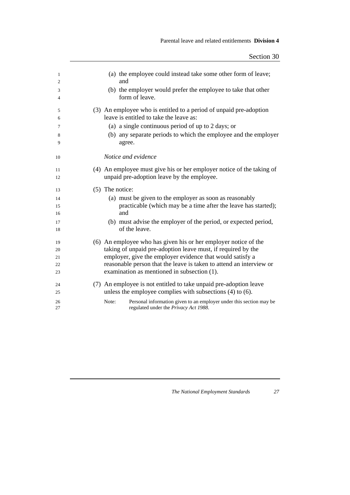| $\mathbf{1}$ | (a) the employee could instead take some other form of leave;                                                         |
|--------------|-----------------------------------------------------------------------------------------------------------------------|
| 2            | and                                                                                                                   |
| 3            | (b) the employer would prefer the employee to take that other                                                         |
| 4            | form of leave.                                                                                                        |
| 5            | (3) An employee who is entitled to a period of unpaid pre-adoption                                                    |
| 6            | leave is entitled to take the leave as:                                                                               |
| 7            | (a) a single continuous period of up to 2 days; or                                                                    |
| 8            | (b) any separate periods to which the employee and the employer                                                       |
| 9            | agree.                                                                                                                |
| 10           | Notice and evidence                                                                                                   |
| 11           | (4) An employee must give his or her employer notice of the taking of                                                 |
| 12           | unpaid pre-adoption leave by the employee.                                                                            |
|              |                                                                                                                       |
| 13           | (5) The notice:                                                                                                       |
| 14           | (a) must be given to the employer as soon as reasonably                                                               |
| 15           | practicable (which may be a time after the leave has started);                                                        |
| 16           | and                                                                                                                   |
| 17           | (b) must advise the employer of the period, or expected period,                                                       |
| 18           | of the leave.                                                                                                         |
| 19           | (6) An employee who has given his or her employer notice of the                                                       |
| 20           | taking of unpaid pre-adoption leave must, if required by the                                                          |
| 21           | employer, give the employer evidence that would satisfy a                                                             |
| 22           | reasonable person that the leave is taken to attend an interview or                                                   |
| 23           | examination as mentioned in subsection (1).                                                                           |
| 24           | (7) An employee is not entitled to take unpaid pre-adoption leave                                                     |
| 25           | unless the employee complies with subsections $(4)$ to $(6)$ .                                                        |
|              |                                                                                                                       |
| 26<br>27     | Note:<br>Personal information given to an employer under this section may be<br>regulated under the Privacy Act 1988. |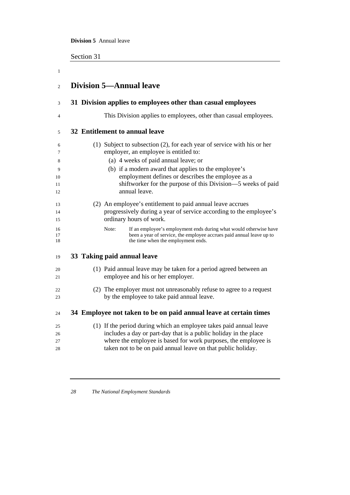**Division 5** Annual leave

Section 31

| $\mathbf{1}$   |                                                                                                                                                                                          |
|----------------|------------------------------------------------------------------------------------------------------------------------------------------------------------------------------------------|
| $\overline{2}$ | <b>Division 5-Annual leave</b>                                                                                                                                                           |
| 3              | 31 Division applies to employees other than casual employees                                                                                                                             |
| 4              | This Division applies to employees, other than casual employees.                                                                                                                         |
| 5              | 32 Entitlement to annual leave                                                                                                                                                           |
| 6<br>7         | (1) Subject to subsection (2), for each year of service with his or her<br>employer, an employee is entitled to:                                                                         |
| 8              | (a) 4 weeks of paid annual leave; or                                                                                                                                                     |
| 9              | (b) if a modern award that applies to the employee's                                                                                                                                     |
| 10             | employment defines or describes the employee as a                                                                                                                                        |
| 11             | shiftworker for the purpose of this Division—5 weeks of paid                                                                                                                             |
| 12             | annual leave.                                                                                                                                                                            |
| 13             | (2) An employee's entitlement to paid annual leave accrues                                                                                                                               |
| 14             | progressively during a year of service according to the employee's                                                                                                                       |
| 15             | ordinary hours of work.                                                                                                                                                                  |
| 16<br>17<br>18 | Note:<br>If an employee's employment ends during what would otherwise have<br>been a year of service, the employee accrues paid annual leave up to<br>the time when the employment ends. |
| 19             | 33 Taking paid annual leave                                                                                                                                                              |
| 20<br>21       | (1) Paid annual leave may be taken for a period agreed between an<br>employee and his or her employer.                                                                                   |
| 22             | (2) The employer must not unreasonably refuse to agree to a request                                                                                                                      |
| 23             | by the employee to take paid annual leave.                                                                                                                                               |
|                |                                                                                                                                                                                          |
| 24             | 34 Employee not taken to be on paid annual leave at certain times                                                                                                                        |
| 25             | (1) If the period during which an employee takes paid annual leave                                                                                                                       |
| 26             | includes a day or part-day that is a public holiday in the place                                                                                                                         |
| 27             | where the employee is based for work purposes, the employee is                                                                                                                           |
| 28             | taken not to be on paid annual leave on that public holiday.                                                                                                                             |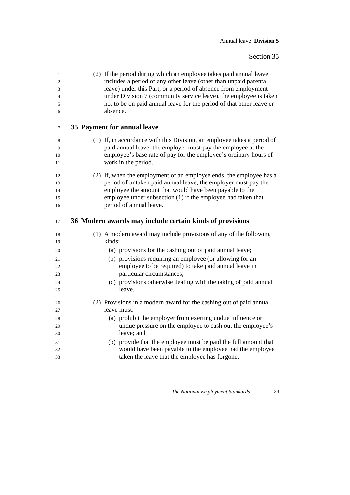| $\mathbf{1}$<br>$\mathfrak{2}$<br>3<br>4<br>5<br>6 | (2) If the period during which an employee takes paid annual leave<br>includes a period of any other leave (other than unpaid parental<br>leave) under this Part, or a period of absence from employment<br>under Division 7 (community service leave), the employee is taken<br>not to be on paid annual leave for the period of that other leave or<br>absence. |
|----------------------------------------------------|-------------------------------------------------------------------------------------------------------------------------------------------------------------------------------------------------------------------------------------------------------------------------------------------------------------------------------------------------------------------|
| $\tau$                                             | 35 Payment for annual leave                                                                                                                                                                                                                                                                                                                                       |
| 8                                                  | (1) If, in accordance with this Division, an employee takes a period of                                                                                                                                                                                                                                                                                           |
| 9                                                  | paid annual leave, the employer must pay the employee at the                                                                                                                                                                                                                                                                                                      |
| 10<br>11                                           | employee's base rate of pay for the employee's ordinary hours of<br>work in the period.                                                                                                                                                                                                                                                                           |
| 12                                                 | (2) If, when the employment of an employee ends, the employee has a                                                                                                                                                                                                                                                                                               |
| 13                                                 | period of untaken paid annual leave, the employer must pay the                                                                                                                                                                                                                                                                                                    |
| 14                                                 | employee the amount that would have been payable to the                                                                                                                                                                                                                                                                                                           |
| 15                                                 | employee under subsection (1) if the employee had taken that                                                                                                                                                                                                                                                                                                      |
| 16                                                 | period of annual leave.                                                                                                                                                                                                                                                                                                                                           |
| 17                                                 | 36 Modern awards may include certain kinds of provisions                                                                                                                                                                                                                                                                                                          |
| 18<br>19                                           | (1) A modern award may include provisions of any of the following<br>kinds:                                                                                                                                                                                                                                                                                       |
| 20                                                 | (a) provisions for the cashing out of paid annual leave;                                                                                                                                                                                                                                                                                                          |
| 21                                                 | (b) provisions requiring an employee (or allowing for an                                                                                                                                                                                                                                                                                                          |
| 22                                                 | employee to be required) to take paid annual leave in                                                                                                                                                                                                                                                                                                             |
| 23                                                 | particular circumstances;                                                                                                                                                                                                                                                                                                                                         |
| 24                                                 | (c) provisions otherwise dealing with the taking of paid annual                                                                                                                                                                                                                                                                                                   |
| 25                                                 | leave.                                                                                                                                                                                                                                                                                                                                                            |
| 26                                                 | (2) Provisions in a modern award for the cashing out of paid annual                                                                                                                                                                                                                                                                                               |
| 27                                                 | leave must:                                                                                                                                                                                                                                                                                                                                                       |
| 28                                                 | (a) prohibit the employer from exerting undue influence or                                                                                                                                                                                                                                                                                                        |
| 29                                                 | undue pressure on the employee to cash out the employee's                                                                                                                                                                                                                                                                                                         |
| 30                                                 | leave; and                                                                                                                                                                                                                                                                                                                                                        |
| 31                                                 | (b) provide that the employee must be paid the full amount that                                                                                                                                                                                                                                                                                                   |
| 32                                                 | would have been payable to the employee had the employee                                                                                                                                                                                                                                                                                                          |
| 33                                                 | taken the leave that the employee has forgone.                                                                                                                                                                                                                                                                                                                    |
|                                                    |                                                                                                                                                                                                                                                                                                                                                                   |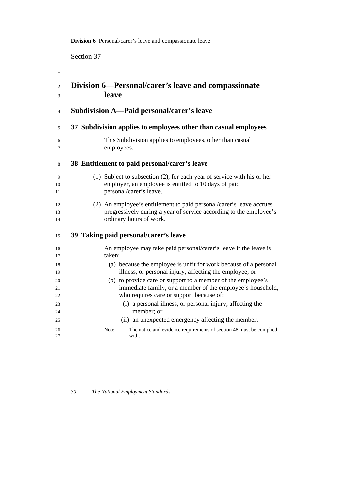## **Division 6** Personal/carer's leave and compassionate leave

|                | Section 37                                                                            |  |  |
|----------------|---------------------------------------------------------------------------------------|--|--|
| 1              |                                                                                       |  |  |
| $\overline{2}$ | Division 6-Personal/carer's leave and compassionate                                   |  |  |
| 3              | leave                                                                                 |  |  |
| $\overline{4}$ | Subdivision A—Paid personal/carer's leave                                             |  |  |
| 5              | 37 Subdivision applies to employees other than casual employees                       |  |  |
| 6              | This Subdivision applies to employees, other than casual                              |  |  |
| 7              | employees.                                                                            |  |  |
| 8              | 38 Entitlement to paid personal/carer's leave                                         |  |  |
| 9              | (1) Subject to subsection (2), for each year of service with his or her               |  |  |
| 10             | employer, an employee is entitled to 10 days of paid                                  |  |  |
| 11             | personal/carer's leave.                                                               |  |  |
| 12             | (2) An employee's entitlement to paid personal/carer's leave accrues                  |  |  |
| 13             | progressively during a year of service according to the employee's                    |  |  |
| 14             | ordinary hours of work.                                                               |  |  |
| 15             | 39 Taking paid personal/carer's leave                                                 |  |  |
| 16             | An employee may take paid personal/carer's leave if the leave is                      |  |  |
| 17             | taken:                                                                                |  |  |
| 18             | (a) because the employee is unfit for work because of a personal                      |  |  |
| 19             | illness, or personal injury, affecting the employee; or                               |  |  |
| 20             | (b) to provide care or support to a member of the employee's                          |  |  |
| 21             | immediate family, or a member of the employee's household,                            |  |  |
| 22             | who requires care or support because of:                                              |  |  |
| 23             | (i) a personal illness, or personal injury, affecting the                             |  |  |
| 24             | member; or                                                                            |  |  |
| 25             | (ii) an unexpected emergency affecting the member.                                    |  |  |
| 26<br>27       | The notice and evidence requirements of section 48 must be complied<br>Note:<br>with. |  |  |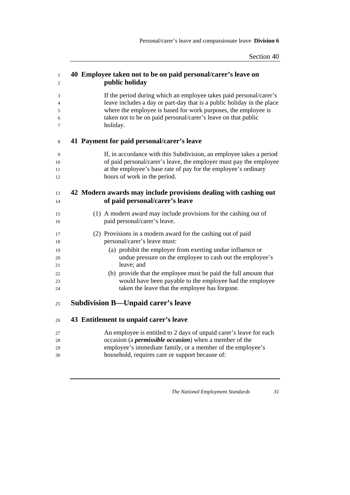| $\mathbf{1}$<br>2 | 40 Employee taken not to be on paid personal/carer's leave on<br>public holiday                                                                                                                             |
|-------------------|-------------------------------------------------------------------------------------------------------------------------------------------------------------------------------------------------------------|
| 3                 | If the period during which an employee takes paid personal/carer's                                                                                                                                          |
| 4<br>5            | leave includes a day or part-day that is a public holiday in the place<br>where the employee is based for work purposes, the employee is                                                                    |
| 6<br>7            | taken not to be on paid personal/carer's leave on that public<br>holiday.                                                                                                                                   |
| 8                 | 41 Payment for paid personal/carer's leave                                                                                                                                                                  |
| 9<br>10<br>11     | If, in accordance with this Subdivision, an employee takes a period<br>of paid personal/carer's leave, the employer must pay the employee<br>at the employee's base rate of pay for the employee's ordinary |
| 12                | hours of work in the period.                                                                                                                                                                                |
| 13                | 42 Modern awards may include provisions dealing with cashing out                                                                                                                                            |
| 14                | of paid personal/carer's leave                                                                                                                                                                              |
| 15<br>16          | (1) A modern award may include provisions for the cashing out of<br>paid personal/carer's leave.                                                                                                            |
| 17<br>18          | (2) Provisions in a modern award for the cashing out of paid<br>personal/carer's leave must:                                                                                                                |
| 19<br>20          | (a) prohibit the employer from exerting undue influence or<br>undue pressure on the employee to cash out the employee's<br>leave; and                                                                       |
| 21<br>22          | (b) provide that the employee must be paid the full amount that                                                                                                                                             |
| 23<br>24          | would have been payable to the employee had the employee<br>taken the leave that the employee has forgone.                                                                                                  |
| 25                | <b>Subdivision B—Unpaid carer's leave</b>                                                                                                                                                                   |
|                   |                                                                                                                                                                                                             |
| 26                | 43 Entitlement to unpaid carer's leave                                                                                                                                                                      |
| 27                | An employee is entitled to 2 days of unpaid carer's leave for each                                                                                                                                          |
| 28<br>29          | occasion (a <i>permissible occasion</i> ) when a member of the<br>employee's immediate family, or a member of the employee's                                                                                |
| 30                | household, requires care or support because of:                                                                                                                                                             |
|                   |                                                                                                                                                                                                             |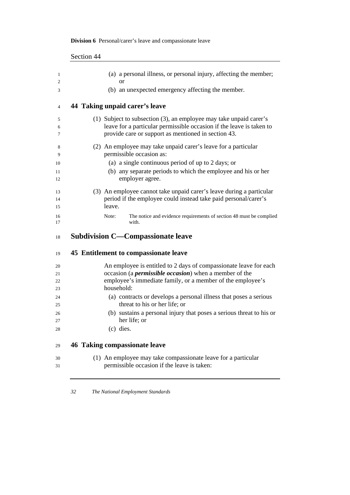|          | ่วceแon <del>++</del>                                                                                                       |
|----------|-----------------------------------------------------------------------------------------------------------------------------|
| 1        | (a) a personal illness, or personal injury, affecting the member;                                                           |
| 2        | <sub>or</sub>                                                                                                               |
| 3        | (b) an unexpected emergency affecting the member.                                                                           |
| 4        | 44 Taking unpaid carer's leave                                                                                              |
| 5        | (1) Subject to subsection (3), an employee may take unpaid carer's                                                          |
| 6<br>7   | leave for a particular permissible occasion if the leave is taken to<br>provide care or support as mentioned in section 43. |
| 8<br>9   | (2) An employee may take unpaid carer's leave for a particular<br>permissible occasion as:                                  |
| 10       | (a) a single continuous period of up to 2 days; or                                                                          |
| 11<br>12 | (b) any separate periods to which the employee and his or her<br>employer agree.                                            |
| 13       | (3) An employee cannot take unpaid carer's leave during a particular                                                        |
| 14       | period if the employee could instead take paid personal/carer's<br>leave.                                                   |
| 15       |                                                                                                                             |
| 16<br>17 | The notice and evidence requirements of section 48 must be complied<br>Note:<br>with.                                       |
| 18       | <b>Subdivision C—Compassionate leave</b>                                                                                    |
| 19       | 45 Entitlement to compassionate leave                                                                                       |
| 20       | An employee is entitled to 2 days of compassionate leave for each                                                           |
| 21       | occasion (a <i>permissible occasion</i> ) when a member of the                                                              |
| 22<br>23 | employee's immediate family, or a member of the employee's<br>household:                                                    |
| 24       | (a) contracts or develops a personal illness that poses a serious                                                           |
| 25       | threat to his or her life; or                                                                                               |
| 26       | (b) sustains a personal injury that poses a serious threat to his or                                                        |
| 27<br>28 | her life; or<br>$(c)$ dies.                                                                                                 |
|          |                                                                                                                             |
| 29       | <b>46 Taking compassionate leave</b>                                                                                        |
| 30       | (1) An employee may take compassionate leave for a particular                                                               |
| 31       | permissible occasion if the leave is taken:                                                                                 |

## **Division 6** Personal/carer's leave and compassionate leave

Section 44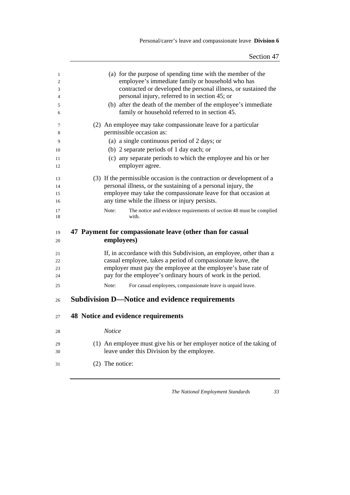Personal/carer's leave and compassionate leave **Division 6**

| 1      | (a) for the purpose of spending time with the member of the                  |
|--------|------------------------------------------------------------------------------|
| 2      | employee's immediate family or household who has                             |
| 3      | contracted or developed the personal illness, or sustained the               |
| 4      | personal injury, referred to in section 45; or                               |
| 5      | (b) after the death of the member of the employee's immediate                |
| 6      | family or household referred to in section 45.                               |
| 7      | (2) An employee may take compassionate leave for a particular                |
| 8      | permissible occasion as:                                                     |
| 9      | (a) a single continuous period of 2 days; or                                 |
| 10     | (b) 2 separate periods of 1 day each; or                                     |
| 11     | (c) any separate periods to which the employee and his or her                |
| 12     | employer agree.                                                              |
| 13     | (3) If the permissible occasion is the contraction or development of a       |
| 14     | personal illness, or the sustaining of a personal injury, the                |
| 15     | employee may take the compassionate leave for that occasion at               |
| 16     | any time while the illness or injury persists.                               |
| 17     | Note:<br>The notice and evidence requirements of section 48 must be complied |
| 18     | with.                                                                        |
| 19     | 47 Payment for compassionate leave (other than for casual                    |
| 20     | employees)                                                                   |
|        |                                                                              |
| 21     | If, in accordance with this Subdivision, an employee, other than a           |
| 22     | casual employee, takes a period of compassionate leave, the                  |
| 23     | employer must pay the employee at the employee's base rate of                |
| 24     | pay for the employee's ordinary hours of work in the period.                 |
| 25     | Note:<br>For casual employees, compassionate leave is unpaid leave.          |
| 26     | <b>Subdivision D-Notice and evidence requirements</b>                        |
| 27     | 48 Notice and evidence requirements                                          |
| $28\,$ | Notice                                                                       |
| 29     | (1) An employee must give his or her employer notice of the taking of        |
| 30     | leave under this Division by the employee.                                   |
| 31     | $(2)$ The notice:                                                            |
|        |                                                                              |
|        |                                                                              |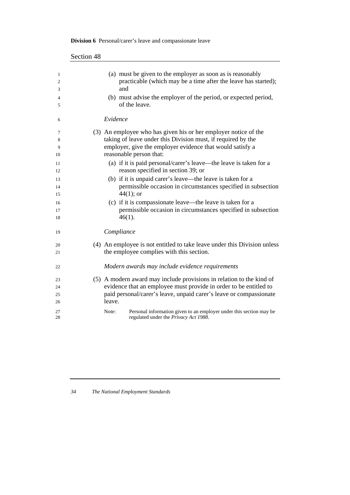|                      | Section 48 |                                                                                                                                                                                                                           |
|----------------------|------------|---------------------------------------------------------------------------------------------------------------------------------------------------------------------------------------------------------------------------|
| 1<br>2<br>3          |            | (a) must be given to the employer as soon as is reasonably<br>practicable (which may be a time after the leave has started);<br>and                                                                                       |
| 4<br>5               |            | (b) must advise the employer of the period, or expected period,<br>of the leave.                                                                                                                                          |
| 6                    |            | Evidence                                                                                                                                                                                                                  |
| 7<br>8<br>9<br>10    |            | (3) An employee who has given his or her employer notice of the<br>taking of leave under this Division must, if required by the<br>employer, give the employer evidence that would satisfy a<br>reasonable person that:   |
| 11<br>12             |            | (a) if it is paid personal/carer's leave—the leave is taken for a<br>reason specified in section 39; or                                                                                                                   |
| 13<br>14<br>15       |            | (b) if it is unpaid carer's leave—the leave is taken for a<br>permissible occasion in circumstances specified in subsection<br>$44(1)$ ; or                                                                               |
| 16<br>17<br>18       |            | (c) if it is compassionate leave—the leave is taken for a<br>permissible occasion in circumstances specified in subsection<br>$46(1)$ .                                                                                   |
| 19                   |            | Compliance                                                                                                                                                                                                                |
| 20<br>21             |            | (4) An employee is not entitled to take leave under this Division unless<br>the employee complies with this section.                                                                                                      |
| 22                   |            | Modern awards may include evidence requirements                                                                                                                                                                           |
| 23<br>24<br>25<br>26 |            | (5) A modern award may include provisions in relation to the kind of<br>evidence that an employee must provide in order to be entitled to<br>paid personal/carer's leave, unpaid carer's leave or compassionate<br>leave. |
| 27<br>28             |            | Note:<br>Personal information given to an employer under this section may be<br>regulated under the Privacy Act 1988.                                                                                                     |

## **Division 6** Personal/carer's leave and compassionate leave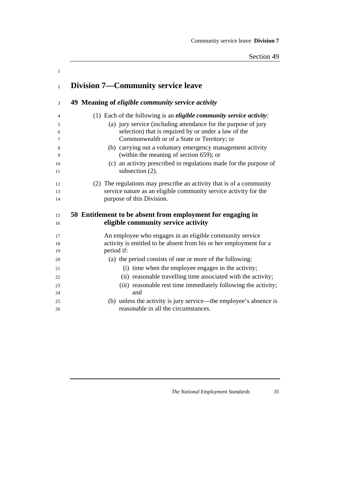Community service leave **Division 7**

| $\mathbf{1}$   |                                                                                                       |
|----------------|-------------------------------------------------------------------------------------------------------|
| $\overline{2}$ | <b>Division 7—Community service leave</b>                                                             |
| 3              | 49 Meaning of <i>eligible community service activity</i>                                              |
| $\overline{4}$ | (1) Each of the following is an <i>eligible community service activity</i> :                          |
| 5              | (a) jury service (including attendance for the purpose of jury                                        |
| 6              | selection) that is required by or under a law of the                                                  |
| 7              | Commonwealth or of a State or Territory; or                                                           |
| 8<br>9         | (b) carrying out a voluntary emergency management activity<br>(within the meaning of section 659); or |
| 10             | (c) an activity prescribed in regulations made for the purpose of                                     |
| 11             | subsection (2).                                                                                       |
| 12             | (2) The regulations may prescribe an activity that is of a community                                  |
| 13             | service nature as an eligible community service activity for the                                      |
| 14             | purpose of this Division.                                                                             |
|                |                                                                                                       |
| 15             | 50 Entitlement to be absent from employment for engaging in                                           |
| 16             | eligible community service activity                                                                   |
| 17             | An employee who engages in an eligible community service                                              |
| 18             | activity is entitled to be absent from his or her employment for a                                    |
| 19             | period if:                                                                                            |
| 20             | (a) the period consists of one or more of the following:                                              |
| 21             | (i) time when the employee engages in the activity;                                                   |
| 22             | (ii) reasonable travelling time associated with the activity;                                         |
| 23             | (iii) reasonable rest time immediately following the activity;                                        |
| 24             | and                                                                                                   |
| 25             | (b) unless the activity is jury service—the employee's absence is                                     |
| 26             | reasonable in all the circumstances.                                                                  |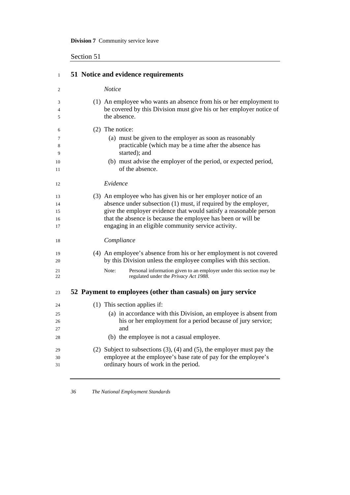Section 51

| $\mathbf{1}$   | 51 Notice and evidence requirements                                                                                                       |
|----------------|-------------------------------------------------------------------------------------------------------------------------------------------|
| $\overline{2}$ | <b>Notice</b>                                                                                                                             |
| 3<br>4         | (1) An employee who wants an absence from his or her employment to<br>be covered by this Division must give his or her employer notice of |
| 5              | the absence.                                                                                                                              |
| 6              | (2) The notice:                                                                                                                           |
| 7              | (a) must be given to the employer as soon as reasonably                                                                                   |
| 8              | practicable (which may be a time after the absence has<br>started); and                                                                   |
| 9<br>10        | (b) must advise the employer of the period, or expected period,                                                                           |
| 11             | of the absence.                                                                                                                           |
| 12             | Evidence                                                                                                                                  |
| 13             | (3) An employee who has given his or her employer notice of an                                                                            |
| 14             | absence under subsection (1) must, if required by the employer,                                                                           |
| 15             | give the employer evidence that would satisfy a reasonable person                                                                         |
| 16<br>17       | that the absence is because the employee has been or will be<br>engaging in an eligible community service activity.                       |
| 18             | Compliance                                                                                                                                |
| 19<br>20       | (4) An employee's absence from his or her employment is not covered<br>by this Division unless the employee complies with this section.   |
| 21             | Personal information given to an employer under this section may be<br>Note:                                                              |
| 22             | regulated under the Privacy Act 1988.                                                                                                     |
| 23             | 52 Payment to employees (other than casuals) on jury service                                                                              |
| 24             | (1) This section applies if:                                                                                                              |
| 25             | (a) in accordance with this Division, an employee is absent from                                                                          |
| 26             | his or her employment for a period because of jury service;                                                                               |
| 27             | and                                                                                                                                       |
| 28             | (b) the employee is not a casual employee.                                                                                                |
| 29             | (2) Subject to subsections $(3)$ , $(4)$ and $(5)$ , the employer must pay the                                                            |
| 30             | employee at the employee's base rate of pay for the employee's                                                                            |
| 31             | ordinary hours of work in the period.                                                                                                     |

<u> 1980 - Johann Barnett, fransk politik (f. 1980)</u>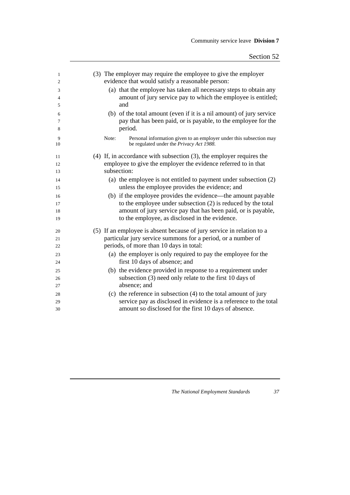| 1              | (3) The employer may require the employee to give the employer               |
|----------------|------------------------------------------------------------------------------|
| $\mathfrak{2}$ | evidence that would satisfy a reasonable person:                             |
| 3              | (a) that the employee has taken all necessary steps to obtain any            |
| $\overline{4}$ | amount of jury service pay to which the employee is entitled;                |
| 5              | and                                                                          |
| 6              | (b) of the total amount (even if it is a nil amount) of jury service         |
| 7              | pay that has been paid, or is payable, to the employee for the               |
| 8              | period.                                                                      |
| 9              | Personal information given to an employer under this subsection may<br>Note: |
| 10             | be regulated under the Privacy Act 1988.                                     |
| 11             | $(4)$ If, in accordance with subsection $(3)$ , the employer requires the    |
| 12             | employee to give the employer the evidence referred to in that               |
| 13             | subsection:                                                                  |
| 14             | (a) the employee is not entitled to payment under subsection (2)             |
| 15             | unless the employee provides the evidence; and                               |
| 16             | (b) if the employee provides the evidence—the amount payable                 |
| 17             | to the employee under subsection (2) is reduced by the total                 |
| 18             | amount of jury service pay that has been paid, or is payable,                |
| 19             | to the employee, as disclosed in the evidence.                               |
| 20             | (5) If an employee is absent because of jury service in relation to a        |
| 21             | particular jury service summons for a period, or a number of                 |
| 22             | periods, of more than 10 days in total:                                      |
| 23             | (a) the employer is only required to pay the employee for the                |
| 24             | first 10 days of absence; and                                                |
| 25             | (b) the evidence provided in response to a requirement under                 |
| 26             | subsection (3) need only relate to the first 10 days of                      |
| 27             | absence; and                                                                 |
| 28             | (c) the reference in subsection $(4)$ to the total amount of jury            |
| 29             | service pay as disclosed in evidence is a reference to the total             |
| 30             | amount so disclosed for the first 10 days of absence.                        |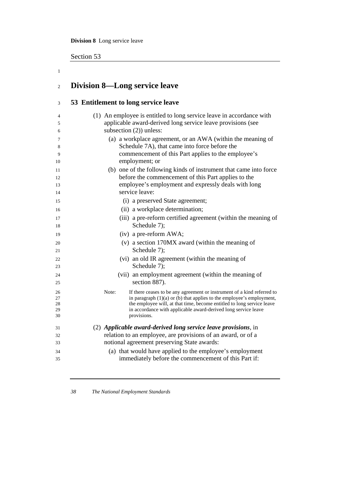**Division 8** Long service leave

Section 53

1

| $\overline{c}$ | <b>Division 8—Long service leave</b>                                                                                                     |
|----------------|------------------------------------------------------------------------------------------------------------------------------------------|
| 3              | 53 Entitlement to long service leave                                                                                                     |
| $\overline{4}$ | (1) An employee is entitled to long service leave in accordance with                                                                     |
| 5              | applicable award-derived long service leave provisions (see                                                                              |
| 6              | subsection $(2)$ ) unless:                                                                                                               |
| 7<br>8         | (a) a workplace agreement, or an AWA (within the meaning of<br>Schedule 7A), that came into force before the                             |
| 9              | commencement of this Part applies to the employee's                                                                                      |
| 10             | employment; or                                                                                                                           |
| 11             | (b) one of the following kinds of instrument that came into force                                                                        |
| 12             | before the commencement of this Part applies to the                                                                                      |
| 13             | employee's employment and expressly deals with long                                                                                      |
| 14             | service leave:                                                                                                                           |
| 15             | (i) a preserved State agreement;                                                                                                         |
| 16             | (ii) a workplace determination;                                                                                                          |
| 17             | (iii) a pre-reform certified agreement (within the meaning of                                                                            |
| 18             | Schedule 7);                                                                                                                             |
| 19             | (iv) a pre-reform AWA;                                                                                                                   |
| 20             | (v) a section 170MX award (within the meaning of                                                                                         |
| 21             | Schedule 7);                                                                                                                             |
| 22             | (vi) an old IR agreement (within the meaning of                                                                                          |
| 23             | Schedule 7);                                                                                                                             |
| 24             | (vii) an employment agreement (within the meaning of                                                                                     |
| 25             | section 887).                                                                                                                            |
| 26             | Note:<br>If there ceases to be any agreement or instrument of a kind referred to                                                         |
| 27             | in paragraph $(1)(a)$ or (b) that applies to the employee's employment,                                                                  |
| 28<br>29       | the employee will, at that time, become entitled to long service leave<br>in accordance with applicable award-derived long service leave |
| 30             | provisions.                                                                                                                              |
| 31             | (2) Applicable award-derived long service leave provisions, in                                                                           |
| 32             | relation to an employee, are provisions of an award, or of a                                                                             |
| 33             | notional agreement preserving State awards:                                                                                              |
| 34             | (a) that would have applied to the employee's employment                                                                                 |
| 35             | immediately before the commencement of this Part if:                                                                                     |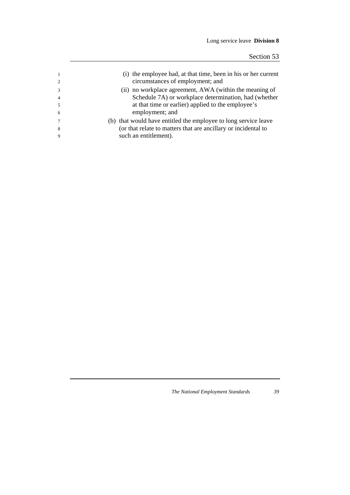|   | (i) the employee had, at that time, been in his or her current<br>circumstances of employment; and |
|---|----------------------------------------------------------------------------------------------------|
|   | (ii) no workplace agreement, AWA (within the meaning of                                            |
|   | Schedule 7A) or workplace determination, had (whether                                              |
|   | at that time or earlier) applied to the employee's                                                 |
| 6 | employment; and                                                                                    |
|   | (b) that would have entitled the employee to long service leave                                    |
| 8 | (or that relate to matters that are ancillary or incidental to                                     |
|   | such an entitlement).                                                                              |
|   |                                                                                                    |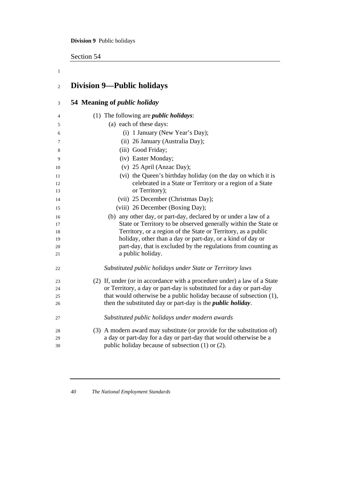**Division 9** Public holidays

Section 54

1

| $\overline{c}$ | <b>Division 9—Public holidays</b>                                                                                            |
|----------------|------------------------------------------------------------------------------------------------------------------------------|
| 3              | 54 Meaning of <i>public holiday</i>                                                                                          |
| 4              | (1) The following are <i>public holidays</i> :                                                                               |
| 5              | (a) each of these days:                                                                                                      |
| 6              | (i) 1 January (New Year's Day);                                                                                              |
| 7              | (ii) 26 January (Australia Day);                                                                                             |
| 8              | (iii) Good Friday;                                                                                                           |
| 9              | (iv) Easter Monday;                                                                                                          |
| 10             | (v) 25 April (Anzac Day);                                                                                                    |
| 11             | (vi) the Queen's birthday holiday (on the day on which it is                                                                 |
| 12             | celebrated in a State or Territory or a region of a State                                                                    |
| 13             | or Territory);                                                                                                               |
| 14             | (vii) 25 December (Christmas Day);                                                                                           |
| 15             | (viii) 26 December (Boxing Day);                                                                                             |
| 16             | (b) any other day, or part-day, declared by or under a law of a                                                              |
| 17             | State or Territory to be observed generally within the State or                                                              |
| 18             | Territory, or a region of the State or Territory, as a public                                                                |
| 19             | holiday, other than a day or part-day, or a kind of day or<br>part-day, that is excluded by the regulations from counting as |
| 20<br>21       | a public holiday.                                                                                                            |
|                |                                                                                                                              |
| 22             | Substituted public holidays under State or Territory laws                                                                    |
| 23             | (2) If, under (or in accordance with a procedure under) a law of a State                                                     |
| 24             | or Territory, a day or part-day is substituted for a day or part-day                                                         |
| 25             | that would otherwise be a public holiday because of subsection (1),                                                          |
| 26             | then the substituted day or part-day is the <i>public holiday</i> .                                                          |
| 27             | Substituted public holidays under modern awards                                                                              |
| 28             | (3) A modern award may substitute (or provide for the substitution of)                                                       |
| 29             | a day or part-day for a day or part-day that would otherwise be a                                                            |
| 30             | public holiday because of subsection (1) or (2).                                                                             |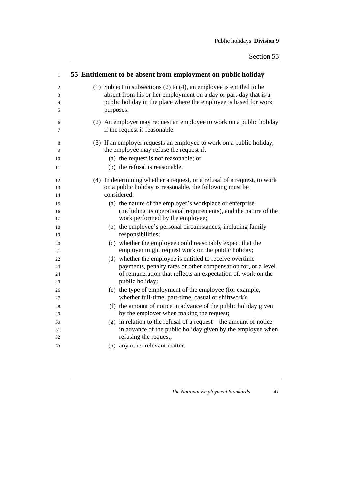| $\mathbf{1}$ | 55 Entitlement to be absent from employment on public holiday             |
|--------------|---------------------------------------------------------------------------|
| 2            | (1) Subject to subsections $(2)$ to $(4)$ , an employee is entitled to be |
| 3            | absent from his or her employment on a day or part-day that is a          |
| 4            | public holiday in the place where the employee is based for work          |
| 5            | purposes.                                                                 |
| 6            | (2) An employer may request an employee to work on a public holiday       |
| 7            | if the request is reasonable.                                             |
| 8            | (3) If an employer requests an employee to work on a public holiday,      |
| 9            | the employee may refuse the request if:                                   |
| 10           | (a) the request is not reasonable; or                                     |
| 11           | (b) the refusal is reasonable.                                            |
| 12           | (4) In determining whether a request, or a refusal of a request, to work  |
| 13           | on a public holiday is reasonable, the following must be                  |
| 14           | considered:                                                               |
| 15           | (a) the nature of the employer's workplace or enterprise                  |
| 16           | (including its operational requirements), and the nature of the           |
| 17           | work performed by the employee;                                           |
| 18           | (b) the employee's personal circumstances, including family               |
| 19           | responsibilities;                                                         |
| 20           | (c) whether the employee could reasonably expect that the                 |
| 21           | employer might request work on the public holiday;                        |
| 22           | (d) whether the employee is entitled to receive overtime                  |
| 23           | payments, penalty rates or other compensation for, or a level             |
| 24           | of remuneration that reflects an expectation of, work on the              |
| 25           | public holiday;                                                           |
| 26           | (e) the type of employment of the employee (for example,                  |
| 27           | whether full-time, part-time, casual or shiftwork);                       |
| 28           | (f) the amount of notice in advance of the public holiday given           |
| 29           | by the employer when making the request;                                  |
| 30           | (g) in relation to the refusal of a request—the amount of notice          |
| 31           | in advance of the public holiday given by the employee when               |
| 32           | refusing the request;                                                     |
| 33           | (h) any other relevant matter.                                            |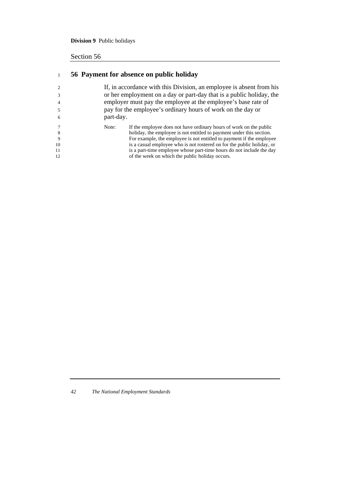## **Division 9** Public holidays

## Section 56

## <sup>1</sup>**56 Payment for absence on public holiday**

|                                                                              | If, in accordance with this Division, an employee is absent from his |  |  |
|------------------------------------------------------------------------------|----------------------------------------------------------------------|--|--|
|                                                                              | or her employment on a day or part-day that is a public holiday, the |  |  |
| employer must pay the employee at the employee's base rate of                |                                                                      |  |  |
| pay for the employee's ordinary hours of work on the day or                  |                                                                      |  |  |
| part-day.<br>6                                                               |                                                                      |  |  |
| If the employee does not have ordinary hours of work on the public<br>Note:  |                                                                      |  |  |
| holiday, the employee is not entitled to payment under this section.<br>8    |                                                                      |  |  |
| For example, the employee is not entitled to payment if the employee         |                                                                      |  |  |
| is a casual employee who is not rostered on for the public holiday, or<br>10 |                                                                      |  |  |
| is a part-time employee whose part-time hours do not include the day<br>11   |                                                                      |  |  |
| of the week on which the public holiday occurs.<br>12                        |                                                                      |  |  |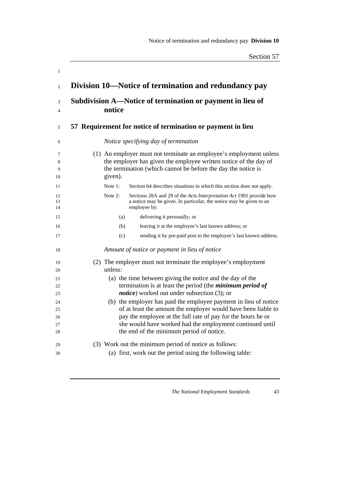| 1                 |                                                                                                                                                                                                                    |
|-------------------|--------------------------------------------------------------------------------------------------------------------------------------------------------------------------------------------------------------------|
| $\mathfrak{2}$    | Division 10-Notice of termination and redundancy pay                                                                                                                                                               |
| 3                 | Subdivision A—Notice of termination or payment in lieu of                                                                                                                                                          |
| 4                 | notice                                                                                                                                                                                                             |
| 5                 | 57 Requirement for notice of termination or payment in lieu                                                                                                                                                        |
| 6                 | Notice specifying day of termination                                                                                                                                                                               |
| 7<br>8<br>9<br>10 | (1) An employer must not terminate an employee's employment unless<br>the employer has given the employee written notice of the day of<br>the termination (which cannot be before the day the notice is<br>given). |
| 11                | Note 1:<br>Section 64 describes situations in which this section does not apply.                                                                                                                                   |
| 12<br>13<br>14    | Note 2:<br>Sections 28A and 29 of the Acts Interpretation Act 1901 provide how<br>a notice may be given. In particular, the notice may be given to an<br>employee by:                                              |
| 15                | delivering it personally; or<br>(a)                                                                                                                                                                                |
| 16                | leaving it at the employee's last known address; or<br>(b)                                                                                                                                                         |
| 17                | sending it by pre-paid post to the employee's last known address.<br>(c)                                                                                                                                           |
| 18                | Amount of notice or payment in lieu of notice                                                                                                                                                                      |
| 19                | (2) The employer must not terminate the employee's employment                                                                                                                                                      |
| 20                | unless:                                                                                                                                                                                                            |
| 21                | (a) the time between giving the notice and the day of the                                                                                                                                                          |
| 22                | termination is at least the period (the <i>minimum period of</i><br><i>notice</i> ) worked out under subsection (3); or                                                                                            |
| 23                |                                                                                                                                                                                                                    |
| 24<br>25          | (b) the employer has paid the employee payment in lieu of notice<br>of at least the amount the employer would have been liable to                                                                                  |
| 26                | pay the employee at the full rate of pay for the hours he or                                                                                                                                                       |
| 27                | she would have worked had the employment continued until                                                                                                                                                           |
| 28                | the end of the minimum period of notice.                                                                                                                                                                           |
| 29                | (3) Work out the minimum period of notice as follows:                                                                                                                                                              |
| 30                | (a) first, work out the period using the following table:                                                                                                                                                          |
|                   |                                                                                                                                                                                                                    |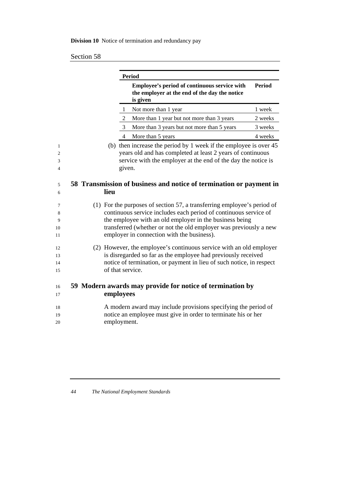## **Division 10** Notice of termination and redundancy pay

## Section 58

|  |      | <b>Period</b>                                                                                                                                                                                              |               |
|--|------|------------------------------------------------------------------------------------------------------------------------------------------------------------------------------------------------------------|---------------|
|  |      | Employee's period of continuous service with<br>the employer at the end of the day the notice<br>is given                                                                                                  | <b>Period</b> |
|  |      | Not more than 1 year<br>-1                                                                                                                                                                                 | 1 week        |
|  |      | $\overline{2}$<br>More than 1 year but not more than 3 years                                                                                                                                               | 2 weeks       |
|  |      | More than 3 years but not more than 5 years<br>3                                                                                                                                                           | 3 weeks       |
|  |      | More than 5 years<br>4                                                                                                                                                                                     | 4 weeks       |
|  |      | (b) then increase the period by 1 week if the employee is over 45<br>years old and has completed at least 2 years of continuous<br>service with the employer at the end of the day the notice is<br>given. |               |
|  | lieu | 58 Transmission of business and notice of termination or payment in                                                                                                                                        |               |
|  |      |                                                                                                                                                                                                            |               |
|  |      | (1) For the purposes of section 57, a transferring employee's period of<br>continuous service includes each period of continuous service of                                                                |               |
|  |      | the employee with an old employer in the business being                                                                                                                                                    |               |
|  |      |                                                                                                                                                                                                            |               |
|  |      | transferred (whether or not the old employer was previously a new<br>employer in connection with the business).                                                                                            |               |
|  |      | (2) However, the employee's continuous service with an old employer                                                                                                                                        |               |
|  |      | is disregarded so far as the employee had previously received                                                                                                                                              |               |
|  |      | notice of termination, or payment in lieu of such notice, in respect<br>of that service.                                                                                                                   |               |
|  |      | 59 Modern awards may provide for notice of termination by<br>employees                                                                                                                                     |               |
|  |      |                                                                                                                                                                                                            |               |
|  |      | A modern award may include provisions specifying the period of<br>notice an employee must give in order to terminate his or her                                                                            |               |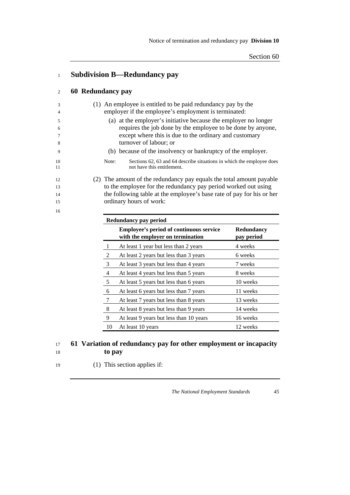| 1                |                   |       | <b>Subdivision B-Redundancy pay</b>                                                                                                                                                                                |                          |
|------------------|-------------------|-------|--------------------------------------------------------------------------------------------------------------------------------------------------------------------------------------------------------------------|--------------------------|
| $\overline{c}$   | 60 Redundancy pay |       |                                                                                                                                                                                                                    |                          |
| 3<br>4           |                   |       | (1) An employee is entitled to be paid redundancy pay by the<br>employer if the employee's employment is terminated:                                                                                               |                          |
| 5<br>6<br>7<br>8 |                   |       | (a) at the employer's initiative because the employer no longer<br>requires the job done by the employee to be done by anyone,<br>except where this is due to the ordinary and customary<br>turnover of labour; or |                          |
| 9                |                   |       | (b) because of the insolvency or bankruptcy of the employer.                                                                                                                                                       |                          |
| 10<br>11         |                   | Note: | Sections 62, 63 and 64 describe situations in which the employee does<br>not have this entitlement.                                                                                                                |                          |
| 12<br>13         |                   |       | (2) The amount of the redundancy pay equals the total amount payable<br>to the employee for the redundancy pay period worked out using                                                                             |                          |
| 14               |                   |       | the following table at the employee's base rate of pay for his or her                                                                                                                                              |                          |
| 15               |                   |       | ordinary hours of work:                                                                                                                                                                                            |                          |
| 16               |                   |       |                                                                                                                                                                                                                    |                          |
|                  |                   |       | <b>Redundancy pay period</b>                                                                                                                                                                                       |                          |
|                  |                   |       | <b>Employee's period of continuous service</b><br>with the employer on termination                                                                                                                                 | Redundancy<br>pay period |
|                  |                   | 1     | At least 1 year but less than 2 years                                                                                                                                                                              | 4 weeks                  |
|                  |                   | 2     | At least 2 years but less than 3 years                                                                                                                                                                             | 6 weeks                  |
|                  |                   | 3     | At least 3 years but less than 4 years                                                                                                                                                                             | 7 weeks                  |
|                  |                   | 4     | At least 4 years but less than 5 years                                                                                                                                                                             | 8 weeks                  |
|                  |                   | 5     | At least 5 years but less than 6 years                                                                                                                                                                             | 10 weeks                 |
|                  |                   | 6     | At least 6 years but less than 7 years                                                                                                                                                                             | 11 weeks                 |
|                  |                   | 7     | At least 7 years but less than 8 years                                                                                                                                                                             | 13 weeks                 |
|                  |                   | 8     | At least 8 years but less than 9 years                                                                                                                                                                             | 14 weeks                 |

## <sup>17</sup>**61 Variation of redundancy pay for other employment or incapacity**  <sup>18</sup>**to pay**

9 At least 9 years but less than 10 years 16 weeks 10 At least 10 years 12 weeks

19 (1) This section applies if: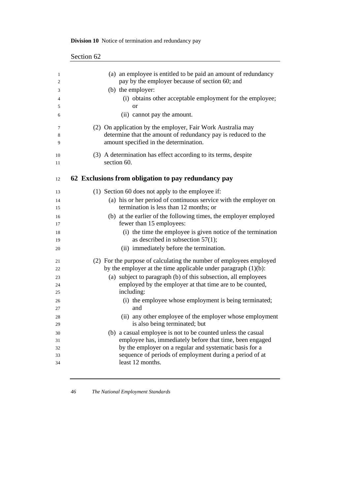| (a) an employee is entitled to be paid an amount of redundancy<br>pay by the employer because of section 60; and                                                       |
|------------------------------------------------------------------------------------------------------------------------------------------------------------------------|
| (b) the employer:                                                                                                                                                      |
| (i) obtains other acceptable employment for the employee;<br><b>or</b>                                                                                                 |
| (ii) cannot pay the amount.                                                                                                                                            |
| (2) On application by the employer, Fair Work Australia may<br>determine that the amount of redundancy pay is reduced to the<br>amount specified in the determination. |
| (3) A determination has effect according to its terms, despite<br>section 60.                                                                                          |
| 62 Exclusions from obligation to pay redundancy pay                                                                                                                    |
| (1) Section 60 does not apply to the employee if:                                                                                                                      |
| (a) his or her period of continuous service with the employer on                                                                                                       |
| termination is less than 12 months; or                                                                                                                                 |
| (b) at the earlier of the following times, the employer employed                                                                                                       |
| fewer than 15 employees:                                                                                                                                               |
| (i) the time the employee is given notice of the termination<br>as described in subsection $57(1)$ ;                                                                   |
| (ii) immediately before the termination.                                                                                                                               |
| (2) For the purpose of calculating the number of employees employed                                                                                                    |
| by the employer at the time applicable under paragraph $(1)(b)$ :                                                                                                      |
| (a) subject to paragraph (b) of this subsection, all employees                                                                                                         |
| employed by the employer at that time are to be counted,                                                                                                               |
| including:                                                                                                                                                             |
| (i) the employee whose employment is being terminated;<br>and                                                                                                          |
| (ii) any other employee of the employer whose employment                                                                                                               |
| is also being terminated; but                                                                                                                                          |
| (b) a casual employee is not to be counted unless the casual                                                                                                           |
| employee has, immediately before that time, been engaged                                                                                                               |
| by the employer on a regular and systematic basis for a                                                                                                                |
|                                                                                                                                                                        |
| sequence of periods of employment during a period of at<br>least 12 months.                                                                                            |

## **Division 10** Notice of termination and redundancy pay

Section 62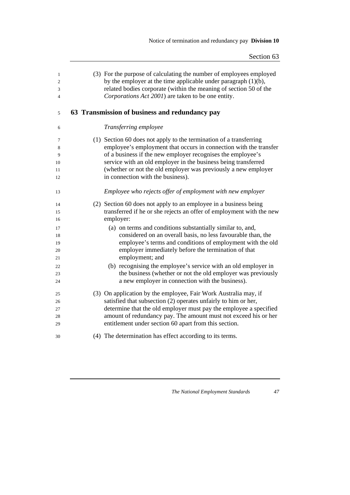| $\mathbf{1}$<br>$\overline{c}$<br>3<br>4 | (3) For the purpose of calculating the number of employees employed<br>by the employer at the time applicable under paragraph $(1)(b)$ ,<br>related bodies corporate (within the meaning of section 50 of the<br>Corporations Act 2001) are taken to be one entity. |
|------------------------------------------|---------------------------------------------------------------------------------------------------------------------------------------------------------------------------------------------------------------------------------------------------------------------|
| 5                                        | 63 Transmission of business and redundancy pay                                                                                                                                                                                                                      |
| 6                                        | Transferring employee                                                                                                                                                                                                                                               |
| 7                                        | (1) Section 60 does not apply to the termination of a transferring                                                                                                                                                                                                  |
| 8                                        | employee's employment that occurs in connection with the transfer                                                                                                                                                                                                   |
| 9                                        | of a business if the new employer recognises the employee's                                                                                                                                                                                                         |
| 10                                       | service with an old employer in the business being transferred<br>(whether or not the old employer was previously a new employer                                                                                                                                    |
| 11<br>12                                 | in connection with the business).                                                                                                                                                                                                                                   |
|                                          |                                                                                                                                                                                                                                                                     |
| 13                                       | Employee who rejects offer of employment with new employer                                                                                                                                                                                                          |
| 14                                       | (2) Section 60 does not apply to an employee in a business being                                                                                                                                                                                                    |
| 15                                       | transferred if he or she rejects an offer of employment with the new                                                                                                                                                                                                |
| 16                                       | employer:                                                                                                                                                                                                                                                           |
| 17                                       | (a) on terms and conditions substantially similar to, and,                                                                                                                                                                                                          |
| 18                                       | considered on an overall basis, no less favourable than, the                                                                                                                                                                                                        |
| 19                                       | employee's terms and conditions of employment with the old                                                                                                                                                                                                          |
| 20                                       | employer immediately before the termination of that<br>employment; and                                                                                                                                                                                              |
| 21                                       |                                                                                                                                                                                                                                                                     |
| 22<br>23                                 | (b) recognising the employee's service with an old employer in<br>the business (whether or not the old employer was previously                                                                                                                                      |
| 24                                       | a new employer in connection with the business).                                                                                                                                                                                                                    |
|                                          |                                                                                                                                                                                                                                                                     |
| 25                                       | (3) On application by the employee, Fair Work Australia may, if                                                                                                                                                                                                     |
| 26                                       | satisfied that subsection (2) operates unfairly to him or her,                                                                                                                                                                                                      |
| 27                                       | determine that the old employer must pay the employee a specified                                                                                                                                                                                                   |
| 28                                       | amount of redundancy pay. The amount must not exceed his or her                                                                                                                                                                                                     |
| 29                                       | entitlement under section 60 apart from this section.                                                                                                                                                                                                               |
| 30                                       | (4) The determination has effect according to its terms.                                                                                                                                                                                                            |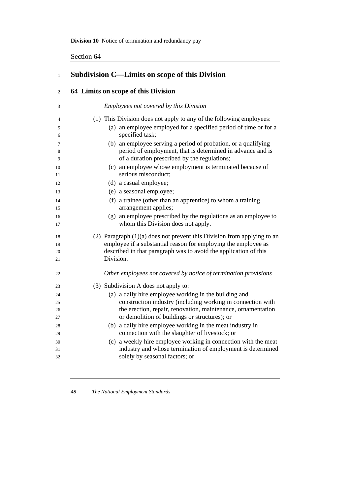**Division 10** Notice of termination and redundancy pay

Section 64

| $\mathbf{1}$         | <b>Subdivision C—Limits on scope of this Division</b>                                                                                                                                                                        |
|----------------------|------------------------------------------------------------------------------------------------------------------------------------------------------------------------------------------------------------------------------|
| $\mathfrak{2}$       | 64 Limits on scope of this Division                                                                                                                                                                                          |
| 3                    | <b>Employees not covered by this Division</b>                                                                                                                                                                                |
| 4                    | (1) This Division does not apply to any of the following employees:                                                                                                                                                          |
| 5<br>6               | (a) an employee employed for a specified period of time or for a<br>specified task;                                                                                                                                          |
| 7<br>8<br>9          | (b) an employee serving a period of probation, or a qualifying<br>period of employment, that is determined in advance and is<br>of a duration prescribed by the regulations;                                                 |
| 10<br>11             | (c) an employee whose employment is terminated because of<br>serious misconduct;                                                                                                                                             |
| 12                   | (d) a casual employee;                                                                                                                                                                                                       |
| 13                   | (e) a seasonal employee;                                                                                                                                                                                                     |
| 14<br>15             | (f) a trainee (other than an apprentice) to whom a training<br>arrangement applies;                                                                                                                                          |
| 16<br>17             | (g) an employee prescribed by the regulations as an employee to<br>whom this Division does not apply.                                                                                                                        |
| 18<br>19<br>20<br>21 | (2) Paragraph $(1)(a)$ does not prevent this Division from applying to an<br>employee if a substantial reason for employing the employee as<br>described in that paragraph was to avoid the application of this<br>Division. |
| 22                   | Other employees not covered by notice of termination provisions                                                                                                                                                              |
| 23                   | (3) Subdivision A does not apply to:                                                                                                                                                                                         |
| 24                   | (a) a daily hire employee working in the building and                                                                                                                                                                        |
| 25                   | construction industry (including working in connection with                                                                                                                                                                  |
| 26                   | the erection, repair, renovation, maintenance, ornamentation                                                                                                                                                                 |
| 27                   | or demolition of buildings or structures); or                                                                                                                                                                                |
| 28                   | (b) a daily hire employee working in the meat industry in                                                                                                                                                                    |
| 29                   | connection with the slaughter of livestock; or                                                                                                                                                                               |
| 30                   | (c) a weekly hire employee working in connection with the meat                                                                                                                                                               |
| 31<br>32             | industry and whose termination of employment is determined<br>solely by seasonal factors; or                                                                                                                                 |

<u> 1989 - Johann Barn, mars ann an t-Amhair an t-Amhair an t-Amhair an t-Amhair an t-Amhair an t-Amhair an t-Amh</u>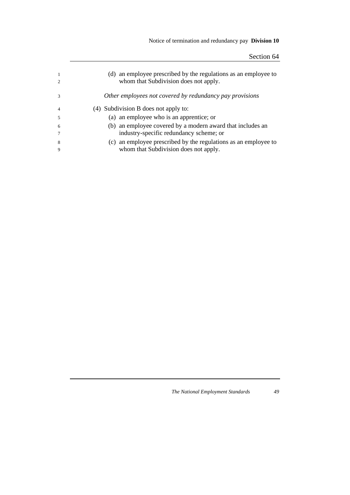## Notice of termination and redundancy pay **Division 10**

|   | (d) an employee prescribed by the regulations as an employee to<br>whom that Subdivision does not apply. |
|---|----------------------------------------------------------------------------------------------------------|
|   | Other employees not covered by redundancy pay provisions                                                 |
| 4 | (4) Subdivision B does not apply to:                                                                     |
|   | (a) an employee who is an apprentice; or                                                                 |
| 6 | (b) an employee covered by a modern award that includes an                                               |
|   | industry-specific redundancy scheme; or                                                                  |
| 8 | (c) an employee prescribed by the regulations as an employee to                                          |
|   | whom that Subdivision does not apply.                                                                    |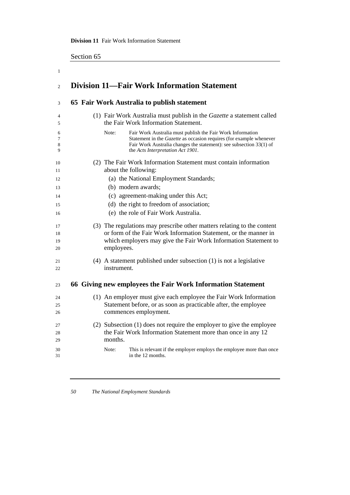#### **Division 11** Fair Work Information Statement

Section 65

| $\mathbf{1}$         |                                                                                                                                                                                                                                                               |
|----------------------|---------------------------------------------------------------------------------------------------------------------------------------------------------------------------------------------------------------------------------------------------------------|
| $\overline{c}$       | <b>Division 11—Fair Work Information Statement</b>                                                                                                                                                                                                            |
| 3                    | 65 Fair Work Australia to publish statement                                                                                                                                                                                                                   |
| 4<br>5               | (1) Fair Work Australia must publish in the Gazette a statement called<br>the Fair Work Information Statement.                                                                                                                                                |
| 6<br>7<br>8<br>9     | Fair Work Australia must publish the Fair Work Information<br>Note:<br>Statement in the <i>Gazette</i> as occasion requires (for example whenever<br>Fair Work Australia changes the statement): see subsection 33(1) of<br>the Acts Interpretation Act 1901. |
| 10<br>11             | (2) The Fair Work Information Statement must contain information<br>about the following:                                                                                                                                                                      |
| 12                   | (a) the National Employment Standards;                                                                                                                                                                                                                        |
| 13                   | (b) modern awards;                                                                                                                                                                                                                                            |
| 14                   | (c) agreement-making under this Act;                                                                                                                                                                                                                          |
| 15                   | (d) the right to freedom of association;                                                                                                                                                                                                                      |
| 16                   | (e) the role of Fair Work Australia.                                                                                                                                                                                                                          |
| 17<br>18<br>19<br>20 | (3) The regulations may prescribe other matters relating to the content<br>or form of the Fair Work Information Statement, or the manner in<br>which employers may give the Fair Work Information Statement to<br>employees.                                  |
| 21<br>22             | (4) A statement published under subsection (1) is not a legislative<br>instrument.                                                                                                                                                                            |
| 23                   | 66 Giving new employees the Fair Work Information Statement                                                                                                                                                                                                   |
| 24                   | (1) An employer must give each employee the Fair Work Information                                                                                                                                                                                             |
| 25                   | Statement before, or as soon as practicable after, the employee                                                                                                                                                                                               |
| 26                   | commences employment.                                                                                                                                                                                                                                         |
| 27<br>28<br>29       | (2) Subsection (1) does not require the employer to give the employee<br>the Fair Work Information Statement more than once in any 12<br>months.                                                                                                              |
| 30<br>31             | This is relevant if the employer employs the employee more than once<br>Note:<br>in the 12 months.                                                                                                                                                            |